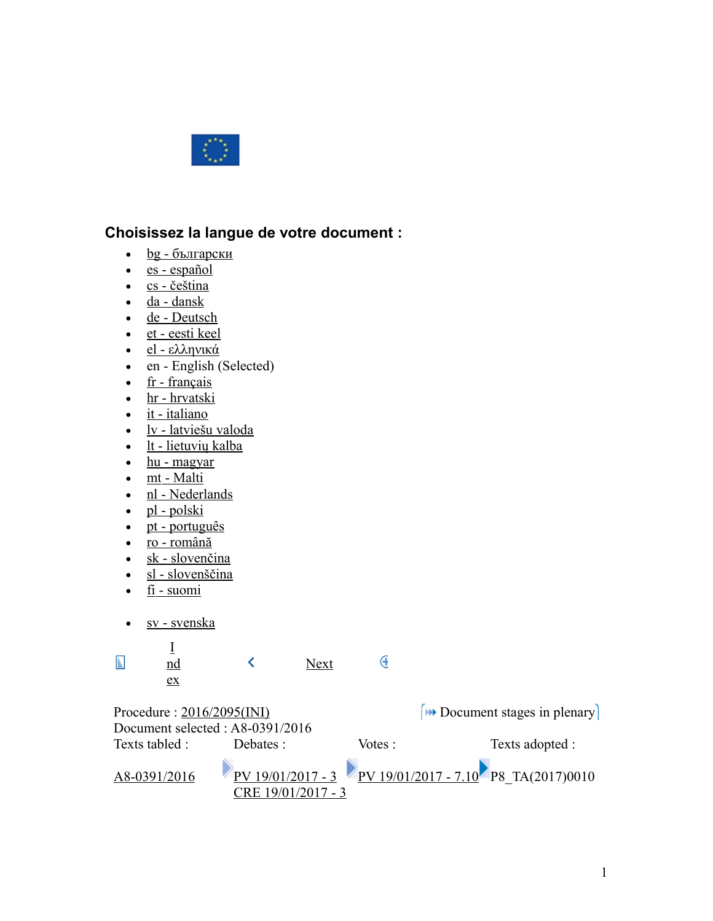

## **Choisissez la langue de votre document :**

- $\cdot$  <u>bg</u> български
- [es español](http://www.europarl.europa.eu/sides/getDoc.do?pubRef=-//EP//TEXT+TA+P8-TA-2017-0010+0+DOC+XML+V0//ES)
- $\text{cs}$  čeština
- $\cdot$  [da dansk](http://www.europarl.europa.eu/sides/getDoc.do?pubRef=-//EP//TEXT+TA+P8-TA-2017-0010+0+DOC+XML+V0//DA)
- • [de Deutsch](http://www.europarl.europa.eu/sides/getDoc.do?pubRef=-//EP//TEXT+TA+P8-TA-2017-0010+0+DOC+XML+V0//DE)
- $\cdot$  [et eesti keel](http://www.europarl.europa.eu/sides/getDoc.do?pubRef=-//EP//TEXT+TA+P8-TA-2017-0010+0+DOC+XML+V0//ET)
- [el ελληνικά](http://www.europarl.europa.eu/sides/getDoc.do?pubRef=-//EP//TEXT+TA+P8-TA-2017-0010+0+DOC+XML+V0//EL)
- en English (Selected)
- $\cdot$  [fr français](http://www.europarl.europa.eu/sides/getDoc.do?pubRef=-//EP//TEXT+TA+P8-TA-2017-0010+0+DOC+XML+V0//FR)
- • [hr hrvatski](http://www.europarl.europa.eu/sides/getDoc.do?pubRef=-//EP//TEXT+TA+P8-TA-2017-0010+0+DOC+XML+V0//HR)
- $\cdot$  [it italiano](http://www.europarl.europa.eu/sides/getDoc.do?pubRef=-//EP//TEXT+TA+P8-TA-2017-0010+0+DOC+XML+V0//IT)
- $\bullet$  [lv latviešu valoda](http://www.europarl.europa.eu/sides/getDoc.do?pubRef=-//EP//TEXT+TA+P8-TA-2017-0010+0+DOC+XML+V0//LV)
- $\cdot$  [lt lietuvių kalba](http://www.europarl.europa.eu/sides/getDoc.do?pubRef=-//EP//TEXT+TA+P8-TA-2017-0010+0+DOC+XML+V0//LT)
- $\cdot$  [hu magyar](http://www.europarl.europa.eu/sides/getDoc.do?pubRef=-//EP//TEXT+TA+P8-TA-2017-0010+0+DOC+XML+V0//HU)
- $\cdot$  [mt Malti](http://www.europarl.europa.eu/sides/getDoc.do?pubRef=-//EP//TEXT+TA+P8-TA-2017-0010+0+DOC+XML+V0//MT)
- • [nl Nederlands](http://www.europarl.europa.eu/sides/getDoc.do?pubRef=-//EP//TEXT+TA+P8-TA-2017-0010+0+DOC+XML+V0//NL)
- $\bullet$  [pl polski](http://www.europarl.europa.eu/sides/getDoc.do?pubRef=-//EP//TEXT+TA+P8-TA-2017-0010+0+DOC+XML+V0//PL)
- • [pt português](http://www.europarl.europa.eu/sides/getDoc.do?pubRef=-//EP//TEXT+TA+P8-TA-2017-0010+0+DOC+XML+V0//PT)
- [ro română](http://www.europarl.europa.eu/sides/getDoc.do?pubRef=-//EP//TEXT+TA+P8-TA-2017-0010+0+DOC+XML+V0//RO)
- $\cdot$  [sk slovenčina](http://www.europarl.europa.eu/sides/getDoc.do?pubRef=-//EP//TEXT+TA+P8-TA-2017-0010+0+DOC+XML+V0//SK)
- $\cdot$  [sl slovenščina](http://www.europarl.europa.eu/sides/getDoc.do?pubRef=-//EP//TEXT+TA+P8-TA-2017-0010+0+DOC+XML+V0//SL)
- $\cdot$  [fi suomi](http://www.europarl.europa.eu/sides/getDoc.do?pubRef=-//EP//TEXT+TA+P8-TA-2017-0010+0+DOC+XML+V0//FI)
- • [sv svenska](http://www.europarl.europa.eu/sides/getDoc.do?pubRef=-//EP//TEXT+TA+P8-TA-2017-0010+0+DOC+XML+V0//SV)

| L                                | nd<br>ex       |                    | Next |         |                                                                                                    |
|----------------------------------|----------------|--------------------|------|---------|----------------------------------------------------------------------------------------------------|
| Procedure: $2016/2095$ (INI)     |                |                    |      |         | $[$ Document stages in plenary                                                                     |
| Document selected : A8-0391/2016 |                |                    |      |         |                                                                                                    |
|                                  | Texts tabled : | Debates :          |      | Votes : | Texts adopted :                                                                                    |
|                                  | A8-0391/2016   | CRE 19/01/2017 - 3 |      |         | $\frac{\text{PV}}{\text{PV}}\frac{19}{01/2017} - 3$ PV $\frac{19}{01/2017} - 7.10$ P8 TA(2017)0010 |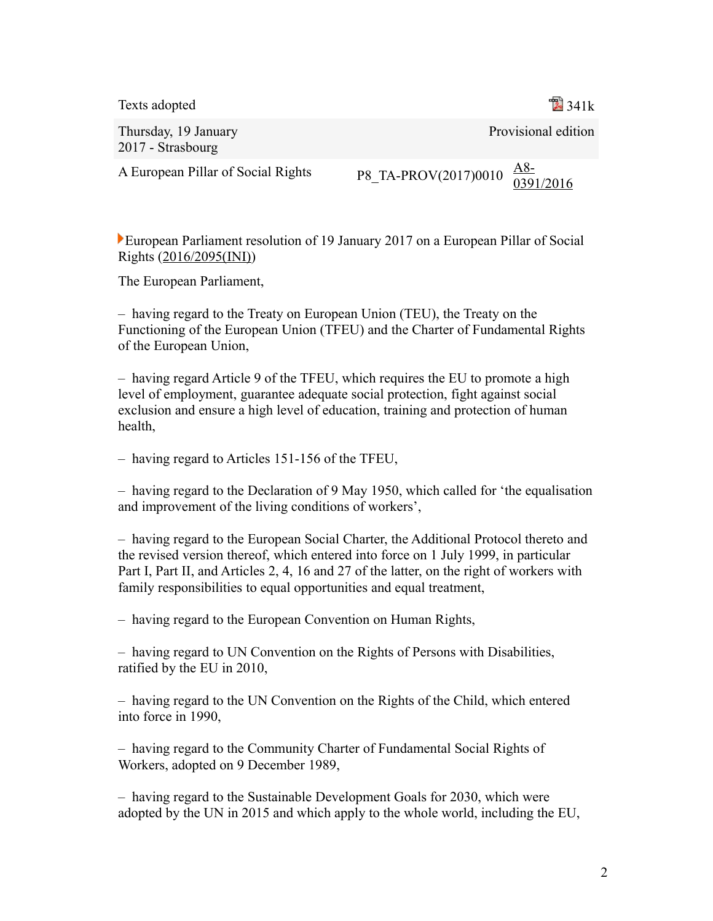Texts adopted **341k** 341k

Thursday, 19 January 2017 - Strasbourg

Provisional edition

A European Pillar of Social Rights

P8 TA-PROV(2017)0010  $\frac{AS-}{0.201}$ [0391/2016](http://www.europarl.europa.eu/sides/getDoc.do?type=REPORT&reference=A8-2016-0391&language=EN)

European Parliament resolution of 19 January 2017 on a European Pillar of Social Rights [\(2016/2095\(INI\)\)](http://www.europarl.europa.eu/oeil/popups/ficheprocedure.do?lang=en&reference=2016/2095(INI))

The European Parliament,

– having regard to the Treaty on European Union (TEU), the Treaty on the Functioning of the European Union (TFEU) and the Charter of Fundamental Rights of the European Union,

– having regard Article 9 of the TFEU, which requires the EU to promote a high level of employment, guarantee adequate social protection, fight against social exclusion and ensure a high level of education, training and protection of human health,

– having regard to Articles 151-156 of the TFEU,

– having regard to the Declaration of 9 May 1950, which called for 'the equalisation and improvement of the living conditions of workers',

– having regard to the European Social Charter, the Additional Protocol thereto and the revised version thereof, which entered into force on 1 July 1999, in particular Part I, Part II, and Articles 2, 4, 16 and 27 of the latter, on the right of workers with family responsibilities to equal opportunities and equal treatment,

– having regard to the European Convention on Human Rights,

– having regard to UN Convention on the Rights of Persons with Disabilities, ratified by the EU in 2010,

– having regard to the UN Convention on the Rights of the Child, which entered into force in 1990,

– having regard to the Community Charter of Fundamental Social Rights of Workers, adopted on 9 December 1989,

– having regard to the Sustainable Development Goals for 2030, which were adopted by the UN in 2015 and which apply to the whole world, including the EU,

 $\overline{2}$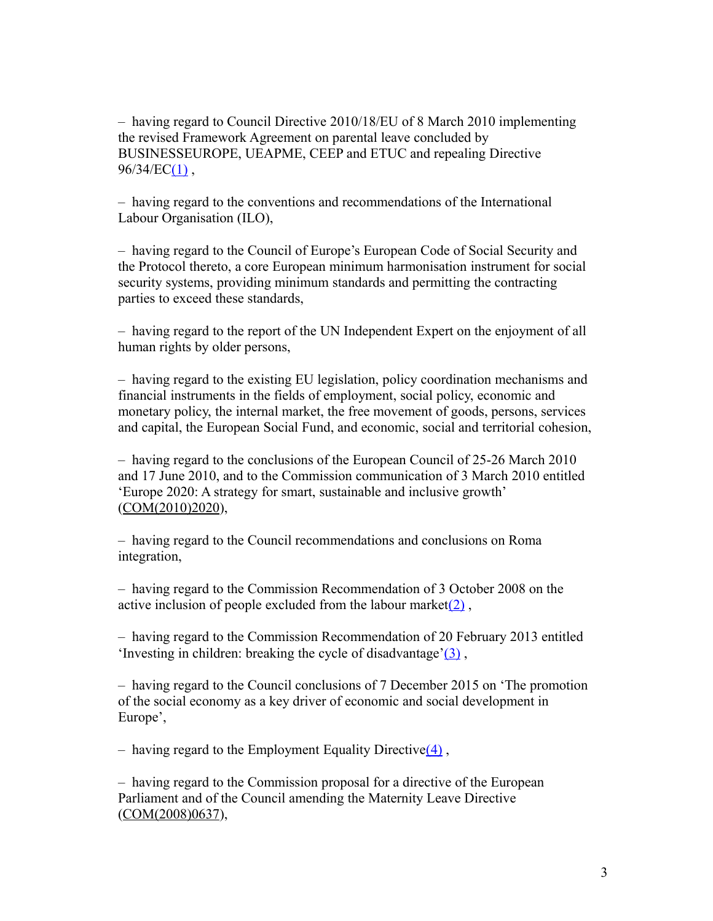– having regard to Council Directive 2010/18/EU of 8 March 2010 implementing the revised Framework Agreement on parental leave concluded by BUSINESSEUROPE, UEAPME, CEEP and ETUC and repealing Directive  $96/34/EC(1)$ ,

– having regard to the conventions and recommendations of the International Labour Organisation (ILO),

– having regard to the Council of Europe's European Code of Social Security and the Protocol thereto, a core European minimum harmonisation instrument for social security systems, providing minimum standards and permitting the contracting parties to exceed these standards,

– having regard to the report of the UN Independent Expert on the enjoyment of all human rights by older persons,

– having regard to the existing EU legislation, policy coordination mechanisms and financial instruments in the fields of employment, social policy, economic and monetary policy, the internal market, the free movement of goods, persons, services and capital, the European Social Fund, and economic, social and territorial cohesion,

– having regard to the conclusions of the European Council of 25-26 March 2010 and 17 June 2010, and to the Commission communication of 3 March 2010 entitled 'Europe 2020: A strategy for smart, sustainable and inclusive growth' [\(COM\(2010\)2020\)](http://eur-lex.europa.eu/smartapi/cgi/sga_doc?smartapi!celexplus!prod!DocNumber&lg=EN&type_doc=COMfinal&an_doc=2010&nu_doc=2020),

– having regard to the Council recommendations and conclusions on Roma integration,

– having regard to the Commission Recommendation of 3 October 2008 on the active inclusion of people excluded from the labour market $(2)$ ,

– having regard to the Commission Recommendation of 20 February 2013 entitled 'Investing in children: breaking the cycle of disadvantage'(3),

– having regard to the Council conclusions of 7 December 2015 on 'The promotion of the social economy as a key driver of economic and social development in Europe',

– having regard to the Employment Equality Directive $(4)$ ,

– having regard to the Commission proposal for a directive of the European Parliament and of the Council amending the Maternity Leave Directive [\(COM\(2008\)0637\)](http://eur-lex.europa.eu/smartapi/cgi/sga_doc?smartapi!celexplus!prod!DocNumber&lg=EN&type_doc=COMfinal&an_doc=2008&nu_doc=0637),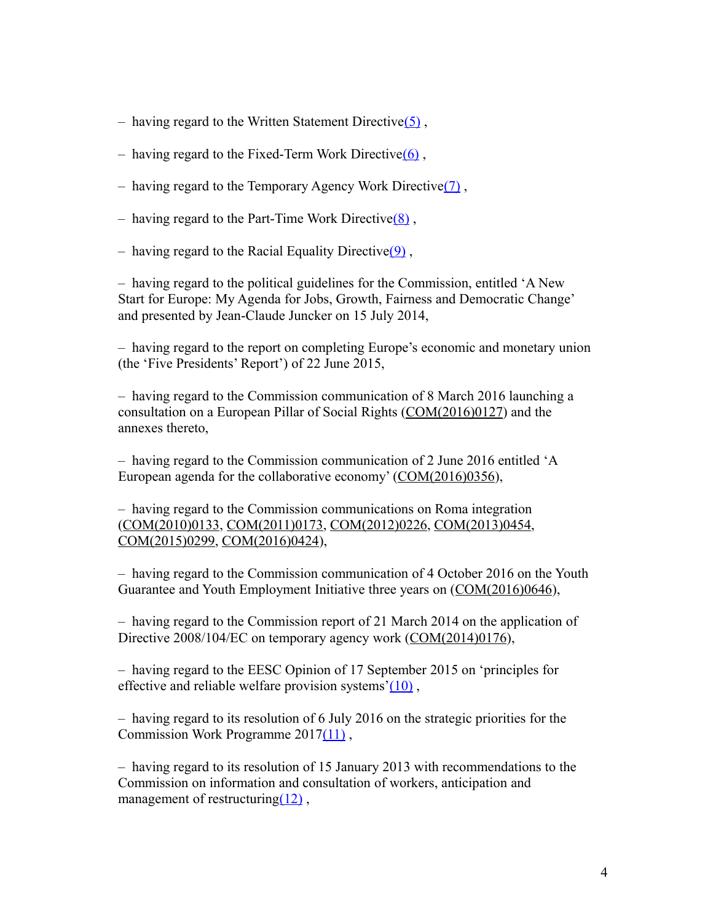- having regard to the Written Statement Directive $(5)$ ,
- having regard to the Fixed-Term Work Directive $(6)$ ,
- having regard to the Temporary Agency Work Directive $(7)$ ,
- having regard to the Part-Time Work Directiv[e\(8\)](http://www.europarl.europa.eu/sides/getDoc.do?pubRef=-//EP//TEXT+TA+P8-TA-2017-0010+0+DOC+XML+V0//EN#def_1_8) ,
- having regard to the Racial Equality Directive $(9)$ ,

– having regard to the political guidelines for the Commission, entitled 'A New Start for Europe: My Agenda for Jobs, Growth, Fairness and Democratic Change' and presented by Jean-Claude Juncker on 15 July 2014,

– having regard to the report on completing Europe's economic and monetary union (the 'Five Presidents' Report') of 22 June 2015,

– having regard to the Commission communication of 8 March 2016 launching a consultation on a European Pillar of Social Rights [\(COM\(2016\)0127\)](http://eur-lex.europa.eu/smartapi/cgi/sga_doc?smartapi!celexplus!prod!DocNumber&lg=EN&type_doc=COMfinal&an_doc=2016&nu_doc=0127) and the annexes thereto,

– having regard to the Commission communication of 2 June 2016 entitled 'A European agenda for the collaborative economy' [\(COM\(2016\)0356\)](http://eur-lex.europa.eu/smartapi/cgi/sga_doc?smartapi!celexplus!prod!DocNumber&lg=EN&type_doc=COMfinal&an_doc=2016&nu_doc=0356),

– having regard to the Commission communications on Roma integration [\(COM\(2010\)0133,](http://eur-lex.europa.eu/smartapi/cgi/sga_doc?smartapi!celexplus!prod!DocNumber&lg=EN&type_doc=COMfinal&an_doc=2010&nu_doc=0133) [COM\(2011\)0173,](http://eur-lex.europa.eu/smartapi/cgi/sga_doc?smartapi!celexplus!prod!DocNumber&lg=EN&type_doc=COMfinal&an_doc=2011&nu_doc=0173) [COM\(2012\)0226,](http://eur-lex.europa.eu/smartapi/cgi/sga_doc?smartapi!celexplus!prod!DocNumber&lg=EN&type_doc=COMfinal&an_doc=2012&nu_doc=0226) [COM\(2013\)0454,](http://eur-lex.europa.eu/smartapi/cgi/sga_doc?smartapi!celexplus!prod!DocNumber&lg=EN&type_doc=COMfinal&an_doc=2013&nu_doc=0454) [COM\(2015\)0299,](http://eur-lex.europa.eu/smartapi/cgi/sga_doc?smartapi!celexplus!prod!DocNumber&lg=EN&type_doc=COMfinal&an_doc=2015&nu_doc=0299) [COM\(2016\)0424\)](http://eur-lex.europa.eu/smartapi/cgi/sga_doc?smartapi!celexplus!prod!DocNumber&lg=EN&type_doc=COMfinal&an_doc=2016&nu_doc=0424),

– having regard to the Commission communication of 4 October 2016 on the Youth Guarantee and Youth Employment Initiative three years on [\(COM\(2016\)0646\)](http://eur-lex.europa.eu/smartapi/cgi/sga_doc?smartapi!celexplus!prod!DocNumber&lg=EN&type_doc=COMfinal&an_doc=2016&nu_doc=0646),

– having regard to the Commission report of 21 March 2014 on the application of Directive 2008/104/EC on temporary agency work [\(COM\(2014\)0176\)](http://eur-lex.europa.eu/smartapi/cgi/sga_doc?smartapi!celexplus!prod!DocNumber&lg=EN&type_doc=COMfinal&an_doc=2014&nu_doc=0176),

– having regard to the EESC Opinion of 17 September 2015 on 'principles for effective and reliable welfare provision systems'( $10$ ),

– having regard to its resolution of 6 July 2016 on the strategic priorities for the Commission Work Programme 201[7\(11\)](http://www.europarl.europa.eu/sides/getDoc.do?pubRef=-//EP//TEXT+TA+P8-TA-2017-0010+0+DOC+XML+V0//EN#def_1_11) ,

– having regard to its resolution of 15 January 2013 with recommendations to the Commission on information and consultation of workers, anticipation and management of restructuring $(12)$ ,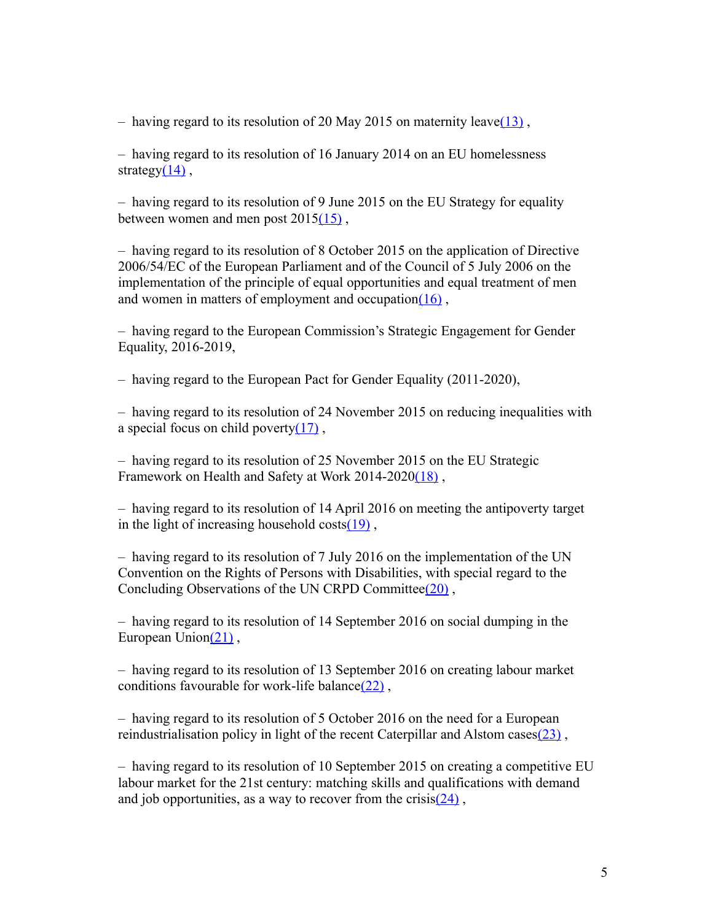– having regard to its resolution of 20 May 2015 on maternity leave( $\frac{13}{3}$ ),

– having regard to its resolution of 16 January 2014 on an EU homelessness strategy $(14)$ ,

– having regard to its resolution of 9 June 2015 on the EU Strategy for equality between women and men post  $2015(15)$ ,

– having regard to its resolution of 8 October 2015 on the application of Directive 2006/54/EC of the European Parliament and of the Council of 5 July 2006 on the implementation of the principle of equal opportunities and equal treatment of men and women in matters of employment and occupatio[n\(16\)](http://www.europarl.europa.eu/sides/getDoc.do?pubRef=-//EP//TEXT+TA+P8-TA-2017-0010+0+DOC+XML+V0//EN#def_1_16) ,

– having regard to the European Commission's Strategic Engagement for Gender Equality, 2016-2019,

– having regard to the European Pact for Gender Equality (2011-2020),

– having regard to its resolution of 24 November 2015 on reducing inequalities with a special focus on child poverty $(17)$ ,

– having regard to its resolution of 25 November 2015 on the EU Strategic Framework on Health and Safety at Work 2014-202[0\(18\)](http://www.europarl.europa.eu/sides/getDoc.do?pubRef=-//EP//TEXT+TA+P8-TA-2017-0010+0+DOC+XML+V0//EN#def_1_18) ,

– having regard to its resolution of 14 April 2016 on meeting the antipoverty target in the light of increasing household  $costs(19)$ ,

– having regard to its resolution of 7 July 2016 on the implementation of the UN Convention on the Rights of Persons with Disabilities, with special regard to the Concluding Observations of the UN CRPD Committe[e\(20\)](http://www.europarl.europa.eu/sides/getDoc.do?pubRef=-//EP//TEXT+TA+P8-TA-2017-0010+0+DOC+XML+V0//EN#def_1_20) ,

– having regard to its resolution of 14 September 2016 on social dumping in the European Union $(21)$ ,

– having regard to its resolution of 13 September 2016 on creating labour market conditions favourable for work-life balance $(22)$ ,

– having regard to its resolution of 5 October 2016 on the need for a European reindustrialisation policy in light of the recent Caterpillar and Alstom cases (23),

– having regard to its resolution of 10 September 2015 on creating a competitive EU labour market for the 21st century: matching skills and qualifications with demand and job opportunities, as a way to recover from the crisis $(24)$ ,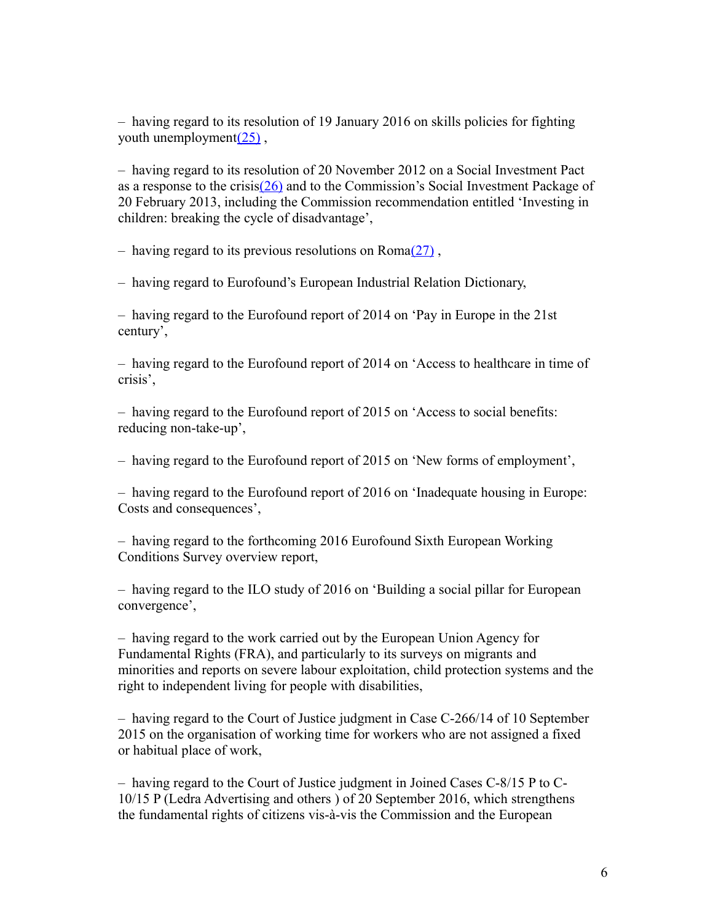– having regard to its resolution of 19 January 2016 on skills policies for fighting youth unemployment $(25)$ ,

– having regard to its resolution of 20 November 2012 on a Social Investment Pact as a response to the crisi[s\(26\)](http://www.europarl.europa.eu/sides/getDoc.do?pubRef=-//EP//TEXT+TA+P8-TA-2017-0010+0+DOC+XML+V0//EN#def_1_26) and to the Commission's Social Investment Package of 20 February 2013, including the Commission recommendation entitled 'Investing in children: breaking the cycle of disadvantage',

– having regard to its previous resolutions on  $\text{Roma}(27)$ ,

– having regard to Eurofound's European Industrial Relation Dictionary,

– having regard to the Eurofound report of 2014 on 'Pay in Europe in the 21st century',

– having regard to the Eurofound report of 2014 on 'Access to healthcare in time of crisis',

– having regard to the Eurofound report of 2015 on 'Access to social benefits: reducing non-take-up',

– having regard to the Eurofound report of 2015 on 'New forms of employment',

– having regard to the Eurofound report of 2016 on 'Inadequate housing in Europe: Costs and consequences',

– having regard to the forthcoming 2016 Eurofound Sixth European Working Conditions Survey overview report,

– having regard to the ILO study of 2016 on 'Building a social pillar for European convergence',

– having regard to the work carried out by the European Union Agency for Fundamental Rights (FRA), and particularly to its surveys on migrants and minorities and reports on severe labour exploitation, child protection systems and the right to independent living for people with disabilities,

– having regard to the Court of Justice judgment in Case C-266/14 of 10 September 2015 on the organisation of working time for workers who are not assigned a fixed or habitual place of work,

– having regard to the Court of Justice judgment in Joined Cases C-8/15 P to C-10/15 P (Ledra Advertising and others ) of 20 September 2016, which strengthens the fundamental rights of citizens vis-à-vis the Commission and the European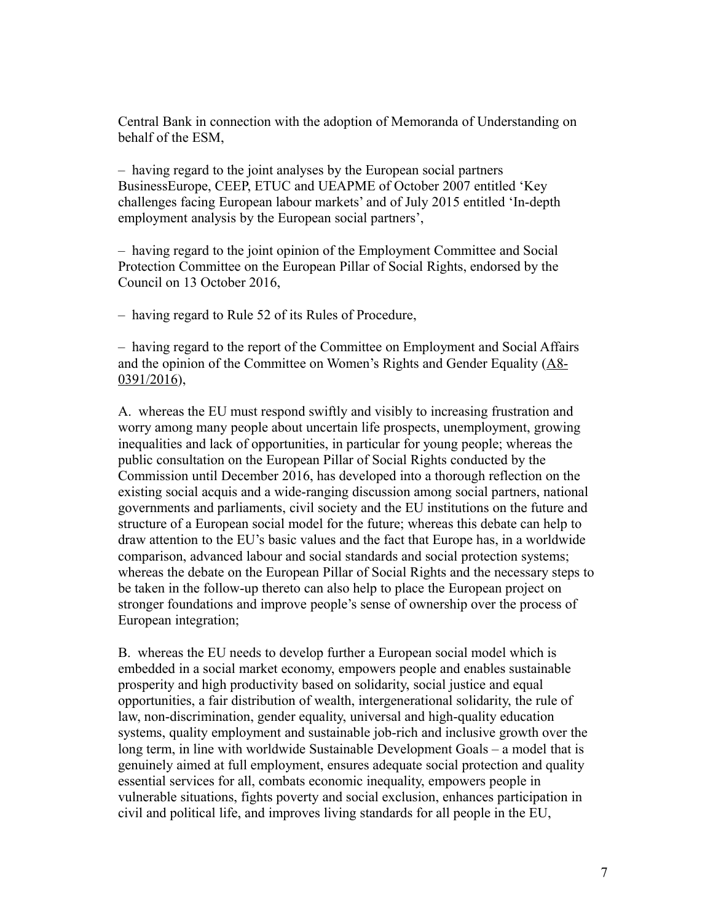Central Bank in connection with the adoption of Memoranda of Understanding on behalf of the ESM,

– having regard to the joint analyses by the European social partners BusinessEurope, CEEP, ETUC and UEAPME of October 2007 entitled 'Key challenges facing European labour markets' and of July 2015 entitled 'In-depth employment analysis by the European social partners',

– having regard to the joint opinion of the Employment Committee and Social Protection Committee on the European Pillar of Social Rights, endorsed by the Council on 13 October 2016,

– having regard to Rule 52 of its Rules of Procedure,

– having regard to the report of the Committee on Employment and Social Affairs and the opinion of the Committee on Women's Rights and Gender Equality [\(A8-](http://www.europarl.europa.eu/sides/getDoc.do?type=REPORT&reference=A8-2016-0391&language=EN) [0391/2016\)](http://www.europarl.europa.eu/sides/getDoc.do?type=REPORT&reference=A8-2016-0391&language=EN),

A. whereas the EU must respond swiftly and visibly to increasing frustration and worry among many people about uncertain life prospects, unemployment, growing inequalities and lack of opportunities, in particular for young people; whereas the public consultation on the European Pillar of Social Rights conducted by the Commission until December 2016, has developed into a thorough reflection on the existing social acquis and a wide-ranging discussion among social partners, national governments and parliaments, civil society and the EU institutions on the future and structure of a European social model for the future; whereas this debate can help to draw attention to the EU's basic values and the fact that Europe has, in a worldwide comparison, advanced labour and social standards and social protection systems; whereas the debate on the European Pillar of Social Rights and the necessary steps to be taken in the follow-up thereto can also help to place the European project on stronger foundations and improve people's sense of ownership over the process of European integration;

B. whereas the EU needs to develop further a European social model which is embedded in a social market economy, empowers people and enables sustainable prosperity and high productivity based on solidarity, social justice and equal opportunities, a fair distribution of wealth, intergenerational solidarity, the rule of law, non-discrimination, gender equality, universal and high-quality education systems, quality employment and sustainable job-rich and inclusive growth over the long term, in line with worldwide Sustainable Development Goals – a model that is genuinely aimed at full employment, ensures adequate social protection and quality essential services for all, combats economic inequality, empowers people in vulnerable situations, fights poverty and social exclusion, enhances participation in civil and political life, and improves living standards for all people in the EU,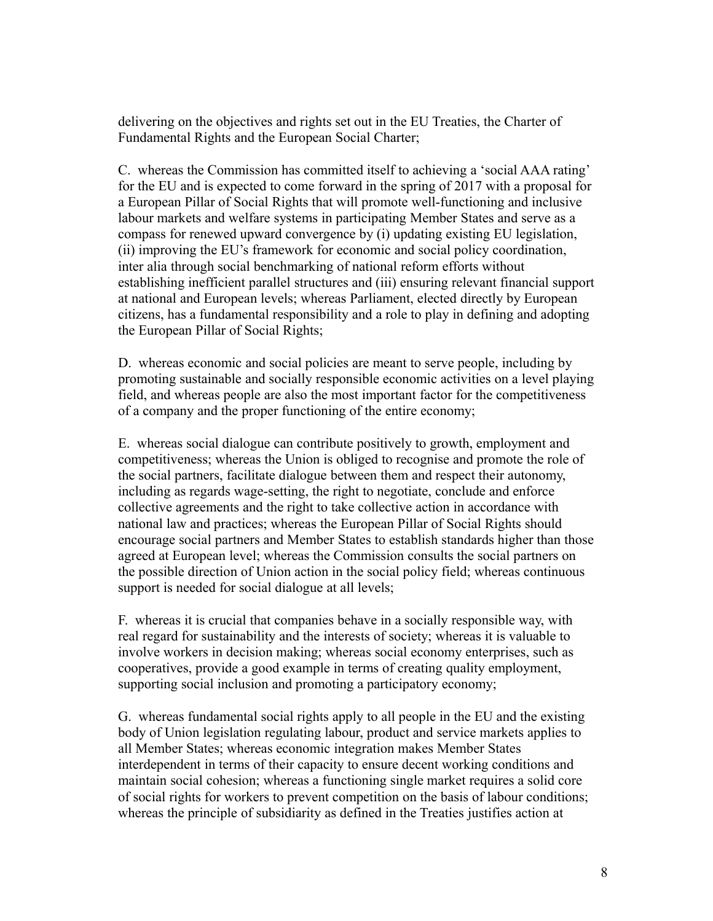delivering on the objectives and rights set out in the EU Treaties, the Charter of Fundamental Rights and the European Social Charter;

C. whereas the Commission has committed itself to achieving a 'social AAA rating' for the EU and is expected to come forward in the spring of 2017 with a proposal for a European Pillar of Social Rights that will promote well-functioning and inclusive labour markets and welfare systems in participating Member States and serve as a compass for renewed upward convergence by (i) updating existing EU legislation, (ii) improving the EU's framework for economic and social policy coordination, inter alia through social benchmarking of national reform efforts without establishing inefficient parallel structures and (iii) ensuring relevant financial support at national and European levels; whereas Parliament, elected directly by European citizens, has a fundamental responsibility and a role to play in defining and adopting the European Pillar of Social Rights;

D. whereas economic and social policies are meant to serve people, including by promoting sustainable and socially responsible economic activities on a level playing field, and whereas people are also the most important factor for the competitiveness of a company and the proper functioning of the entire economy;

E. whereas social dialogue can contribute positively to growth, employment and competitiveness; whereas the Union is obliged to recognise and promote the role of the social partners, facilitate dialogue between them and respect their autonomy, including as regards wage-setting, the right to negotiate, conclude and enforce collective agreements and the right to take collective action in accordance with national law and practices; whereas the European Pillar of Social Rights should encourage social partners and Member States to establish standards higher than those agreed at European level; whereas the Commission consults the social partners on the possible direction of Union action in the social policy field; whereas continuous support is needed for social dialogue at all levels;

F. whereas it is crucial that companies behave in a socially responsible way, with real regard for sustainability and the interests of society; whereas it is valuable to involve workers in decision making; whereas social economy enterprises, such as cooperatives, provide a good example in terms of creating quality employment, supporting social inclusion and promoting a participatory economy;

G. whereas fundamental social rights apply to all people in the EU and the existing body of Union legislation regulating labour, product and service markets applies to all Member States; whereas economic integration makes Member States interdependent in terms of their capacity to ensure decent working conditions and maintain social cohesion; whereas a functioning single market requires a solid core of social rights for workers to prevent competition on the basis of labour conditions; whereas the principle of subsidiarity as defined in the Treaties justifies action at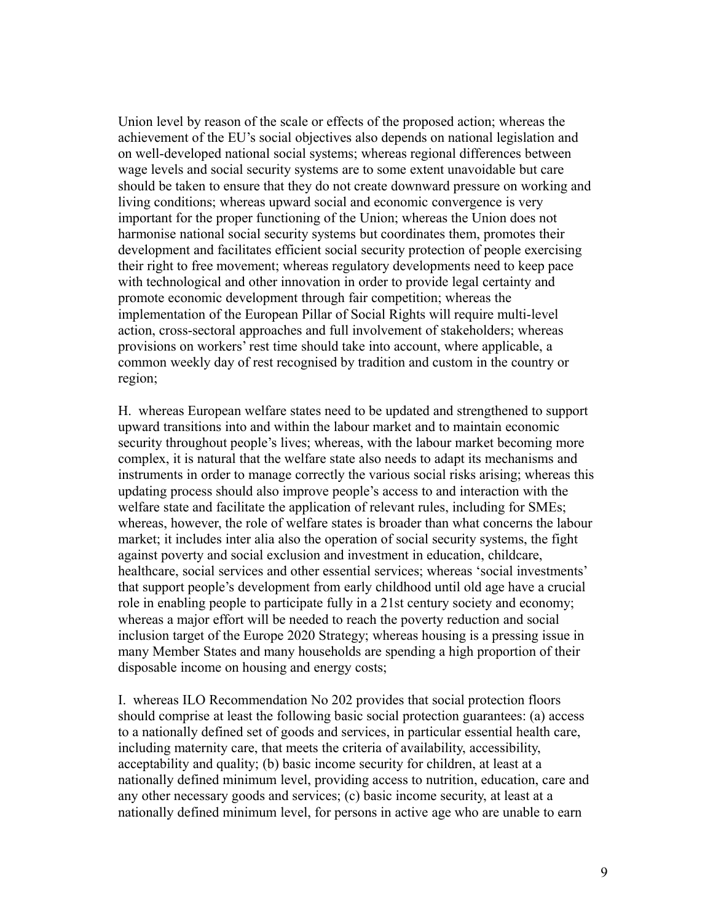Union level by reason of the scale or effects of the proposed action; whereas the achievement of the EU's social objectives also depends on national legislation and on well-developed national social systems; whereas regional differences between wage levels and social security systems are to some extent unavoidable but care should be taken to ensure that they do not create downward pressure on working and living conditions; whereas upward social and economic convergence is very important for the proper functioning of the Union; whereas the Union does not harmonise national social security systems but coordinates them, promotes their development and facilitates efficient social security protection of people exercising their right to free movement; whereas regulatory developments need to keep pace with technological and other innovation in order to provide legal certainty and promote economic development through fair competition; whereas the implementation of the European Pillar of Social Rights will require multi-level action, cross-sectoral approaches and full involvement of stakeholders; whereas provisions on workers' rest time should take into account, where applicable, a common weekly day of rest recognised by tradition and custom in the country or region;

H. whereas European welfare states need to be updated and strengthened to support upward transitions into and within the labour market and to maintain economic security throughout people's lives; whereas, with the labour market becoming more complex, it is natural that the welfare state also needs to adapt its mechanisms and instruments in order to manage correctly the various social risks arising; whereas this updating process should also improve people's access to and interaction with the welfare state and facilitate the application of relevant rules, including for SMEs; whereas, however, the role of welfare states is broader than what concerns the labour market; it includes inter alia also the operation of social security systems, the fight against poverty and social exclusion and investment in education, childcare, healthcare, social services and other essential services; whereas 'social investments' that support people's development from early childhood until old age have a crucial role in enabling people to participate fully in a 21st century society and economy; whereas a major effort will be needed to reach the poverty reduction and social inclusion target of the Europe 2020 Strategy; whereas housing is a pressing issue in many Member States and many households are spending a high proportion of their disposable income on housing and energy costs;

I. whereas ILO Recommendation No 202 provides that social protection floors should comprise at least the following basic social protection guarantees: (a) access to a nationally defined set of goods and services, in particular essential health care, including maternity care, that meets the criteria of availability, accessibility, acceptability and quality; (b) basic income security for children, at least at a nationally defined minimum level, providing access to nutrition, education, care and any other necessary goods and services; (c) basic income security, at least at a nationally defined minimum level, for persons in active age who are unable to earn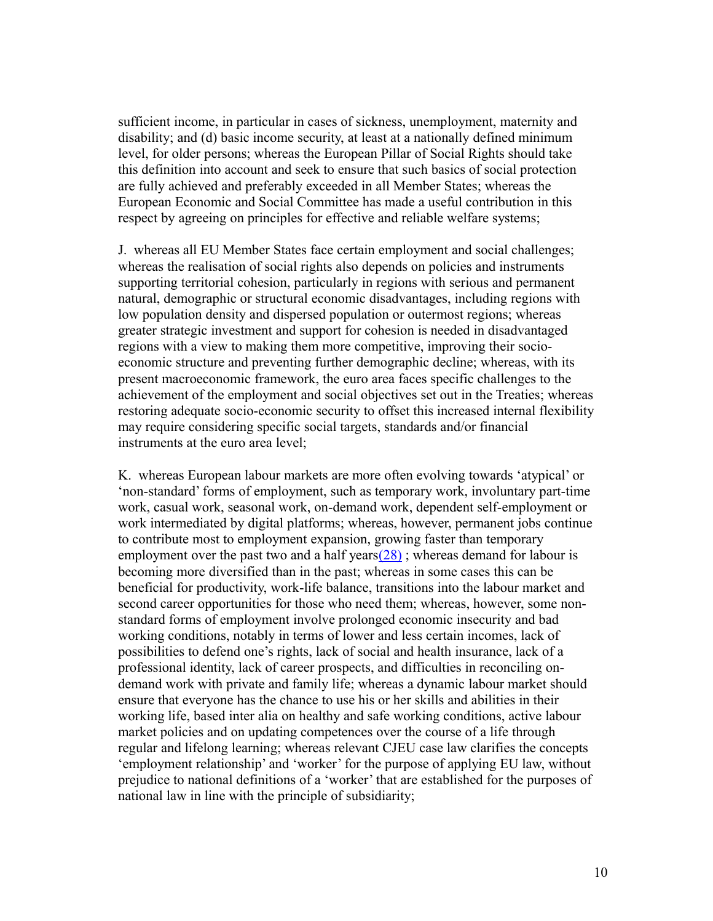sufficient income, in particular in cases of sickness, unemployment, maternity and disability; and (d) basic income security, at least at a nationally defined minimum level, for older persons; whereas the European Pillar of Social Rights should take this definition into account and seek to ensure that such basics of social protection are fully achieved and preferably exceeded in all Member States; whereas the European Economic and Social Committee has made a useful contribution in this respect by agreeing on principles for effective and reliable welfare systems;

J. whereas all EU Member States face certain employment and social challenges; whereas the realisation of social rights also depends on policies and instruments supporting territorial cohesion, particularly in regions with serious and permanent natural, demographic or structural economic disadvantages, including regions with low population density and dispersed population or outermost regions; whereas greater strategic investment and support for cohesion is needed in disadvantaged regions with a view to making them more competitive, improving their socioeconomic structure and preventing further demographic decline; whereas, with its present macroeconomic framework, the euro area faces specific challenges to the achievement of the employment and social objectives set out in the Treaties; whereas restoring adequate socio-economic security to offset this increased internal flexibility may require considering specific social targets, standards and/or financial instruments at the euro area level;

K. whereas European labour markets are more often evolving towards 'atypical' or 'non-standard' forms of employment, such as temporary work, involuntary part-time work, casual work, seasonal work, on-demand work, dependent self-employment or work intermediated by digital platforms; whereas, however, permanent jobs continue to contribute most to employment expansion, growing faster than temporary employment over the past two and a half years $(28)$ ; whereas demand for labour is becoming more diversified than in the past; whereas in some cases this can be beneficial for productivity, work-life balance, transitions into the labour market and second career opportunities for those who need them; whereas, however, some nonstandard forms of employment involve prolonged economic insecurity and bad working conditions, notably in terms of lower and less certain incomes, lack of possibilities to defend one's rights, lack of social and health insurance, lack of a professional identity, lack of career prospects, and difficulties in reconciling ondemand work with private and family life; whereas a dynamic labour market should ensure that everyone has the chance to use his or her skills and abilities in their working life, based inter alia on healthy and safe working conditions, active labour market policies and on updating competences over the course of a life through regular and lifelong learning; whereas relevant CJEU case law clarifies the concepts 'employment relationship' and 'worker' for the purpose of applying EU law, without prejudice to national definitions of a 'worker' that are established for the purposes of national law in line with the principle of subsidiarity;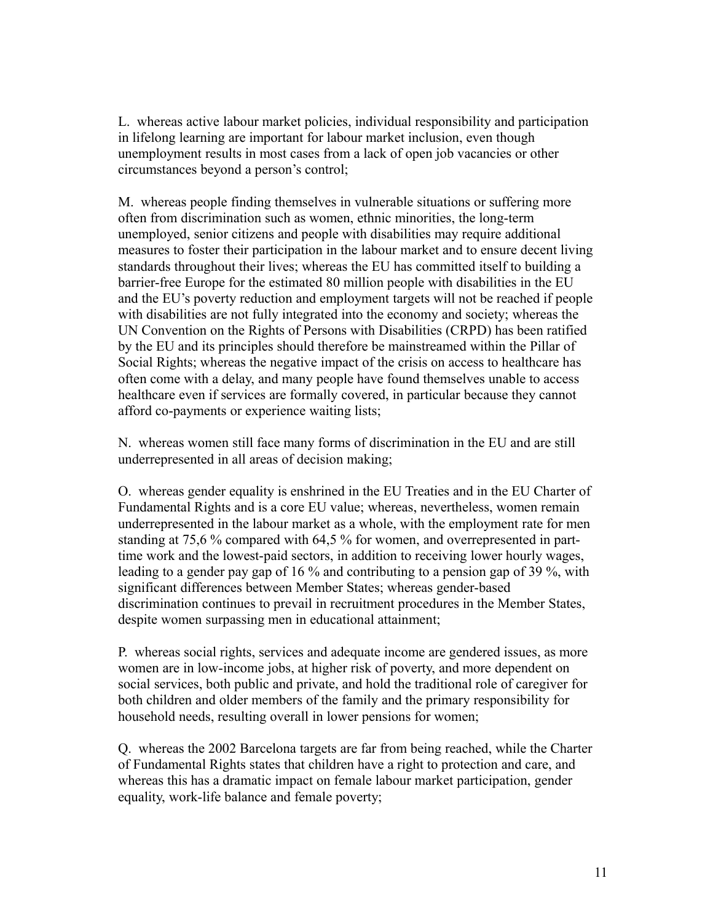L. whereas active labour market policies, individual responsibility and participation in lifelong learning are important for labour market inclusion, even though unemployment results in most cases from a lack of open job vacancies or other circumstances beyond a person's control;

M. whereas people finding themselves in vulnerable situations or suffering more often from discrimination such as women, ethnic minorities, the long-term unemployed, senior citizens and people with disabilities may require additional measures to foster their participation in the labour market and to ensure decent living standards throughout their lives; whereas the EU has committed itself to building a barrier-free Europe for the estimated 80 million people with disabilities in the EU and the EU's poverty reduction and employment targets will not be reached if people with disabilities are not fully integrated into the economy and society; whereas the UN Convention on the Rights of Persons with Disabilities (CRPD) has been ratified by the EU and its principles should therefore be mainstreamed within the Pillar of Social Rights; whereas the negative impact of the crisis on access to healthcare has often come with a delay, and many people have found themselves unable to access healthcare even if services are formally covered, in particular because they cannot afford co-payments or experience waiting lists;

N. whereas women still face many forms of discrimination in the EU and are still underrepresented in all areas of decision making;

O. whereas gender equality is enshrined in the EU Treaties and in the EU Charter of Fundamental Rights and is a core EU value; whereas, nevertheless, women remain underrepresented in the labour market as a whole, with the employment rate for men standing at 75,6 % compared with 64,5 % for women, and overrepresented in parttime work and the lowest-paid sectors, in addition to receiving lower hourly wages, leading to a gender pay gap of 16 % and contributing to a pension gap of 39 %, with significant differences between Member States; whereas gender-based discrimination continues to prevail in recruitment procedures in the Member States, despite women surpassing men in educational attainment;

P. whereas social rights, services and adequate income are gendered issues, as more women are in low-income jobs, at higher risk of poverty, and more dependent on social services, both public and private, and hold the traditional role of caregiver for both children and older members of the family and the primary responsibility for household needs, resulting overall in lower pensions for women;

Q. whereas the 2002 Barcelona targets are far from being reached, while the Charter of Fundamental Rights states that children have a right to protection and care, and whereas this has a dramatic impact on female labour market participation, gender equality, work-life balance and female poverty;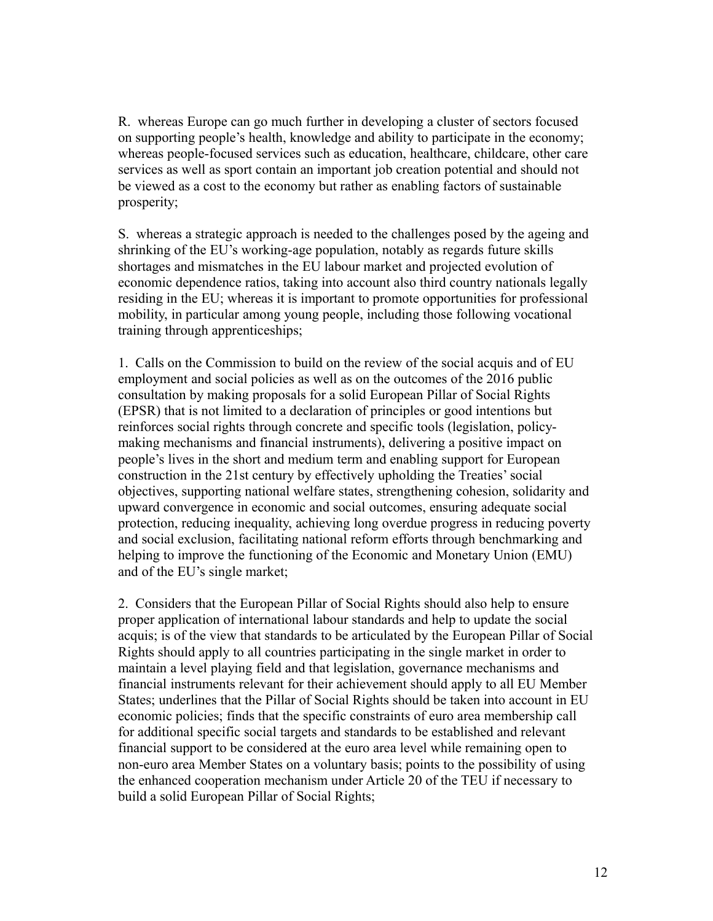R. whereas Europe can go much further in developing a cluster of sectors focused on supporting people's health, knowledge and ability to participate in the economy; whereas people-focused services such as education, healthcare, childcare, other care services as well as sport contain an important job creation potential and should not be viewed as a cost to the economy but rather as enabling factors of sustainable prosperity;

S. whereas a strategic approach is needed to the challenges posed by the ageing and shrinking of the EU's working-age population, notably as regards future skills shortages and mismatches in the EU labour market and projected evolution of economic dependence ratios, taking into account also third country nationals legally residing in the EU; whereas it is important to promote opportunities for professional mobility, in particular among young people, including those following vocational training through apprenticeships;

1. Calls on the Commission to build on the review of the social acquis and of EU employment and social policies as well as on the outcomes of the 2016 public consultation by making proposals for a solid European Pillar of Social Rights (EPSR) that is not limited to a declaration of principles or good intentions but reinforces social rights through concrete and specific tools (legislation, policymaking mechanisms and financial instruments), delivering a positive impact on people's lives in the short and medium term and enabling support for European construction in the 21st century by effectively upholding the Treaties' social objectives, supporting national welfare states, strengthening cohesion, solidarity and upward convergence in economic and social outcomes, ensuring adequate social protection, reducing inequality, achieving long overdue progress in reducing poverty and social exclusion, facilitating national reform efforts through benchmarking and helping to improve the functioning of the Economic and Monetary Union (EMU) and of the EU's single market;

2. Considers that the European Pillar of Social Rights should also help to ensure proper application of international labour standards and help to update the social acquis; is of the view that standards to be articulated by the European Pillar of Social Rights should apply to all countries participating in the single market in order to maintain a level playing field and that legislation, governance mechanisms and financial instruments relevant for their achievement should apply to all EU Member States; underlines that the Pillar of Social Rights should be taken into account in EU economic policies; finds that the specific constraints of euro area membership call for additional specific social targets and standards to be established and relevant financial support to be considered at the euro area level while remaining open to non-euro area Member States on a voluntary basis; points to the possibility of using the enhanced cooperation mechanism under Article 20 of the TEU if necessary to build a solid European Pillar of Social Rights;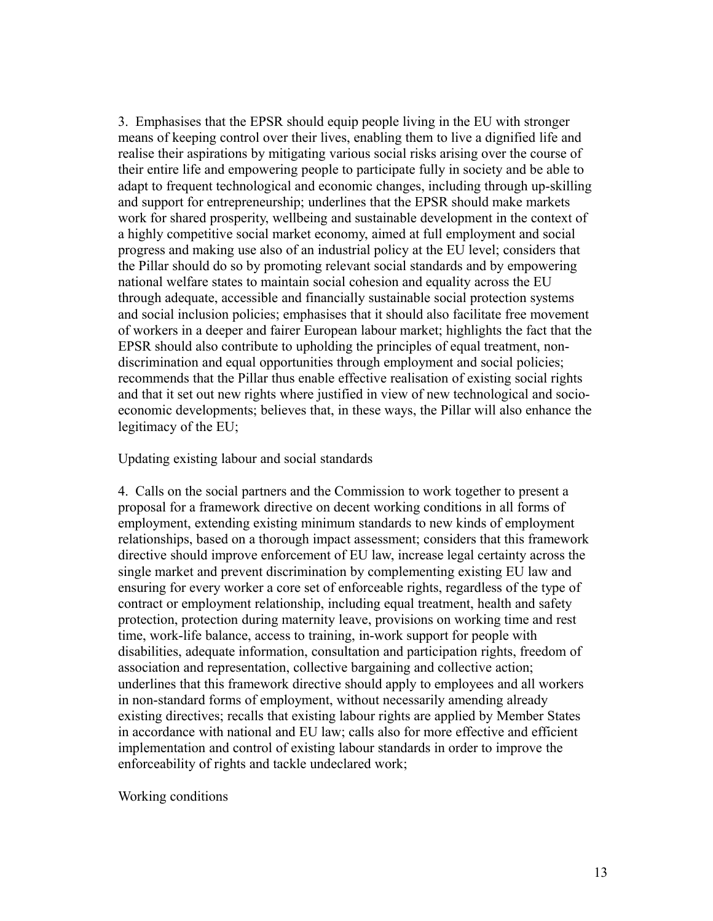3. Emphasises that the EPSR should equip people living in the EU with stronger means of keeping control over their lives, enabling them to live a dignified life and realise their aspirations by mitigating various social risks arising over the course of their entire life and empowering people to participate fully in society and be able to adapt to frequent technological and economic changes, including through up-skilling and support for entrepreneurship; underlines that the EPSR should make markets work for shared prosperity, wellbeing and sustainable development in the context of a highly competitive social market economy, aimed at full employment and social progress and making use also of an industrial policy at the EU level; considers that the Pillar should do so by promoting relevant social standards and by empowering national welfare states to maintain social cohesion and equality across the EU through adequate, accessible and financially sustainable social protection systems and social inclusion policies; emphasises that it should also facilitate free movement of workers in a deeper and fairer European labour market; highlights the fact that the EPSR should also contribute to upholding the principles of equal treatment, nondiscrimination and equal opportunities through employment and social policies; recommends that the Pillar thus enable effective realisation of existing social rights and that it set out new rights where justified in view of new technological and socioeconomic developments; believes that, in these ways, the Pillar will also enhance the legitimacy of the EU;

Updating existing labour and social standards

4. Calls on the social partners and the Commission to work together to present a proposal for a framework directive on decent working conditions in all forms of employment, extending existing minimum standards to new kinds of employment relationships, based on a thorough impact assessment; considers that this framework directive should improve enforcement of EU law, increase legal certainty across the single market and prevent discrimination by complementing existing EU law and ensuring for every worker a core set of enforceable rights, regardless of the type of contract or employment relationship, including equal treatment, health and safety protection, protection during maternity leave, provisions on working time and rest time, work-life balance, access to training, in-work support for people with disabilities, adequate information, consultation and participation rights, freedom of association and representation, collective bargaining and collective action; underlines that this framework directive should apply to employees and all workers in non-standard forms of employment, without necessarily amending already existing directives; recalls that existing labour rights are applied by Member States in accordance with national and EU law; calls also for more effective and efficient implementation and control of existing labour standards in order to improve the enforceability of rights and tackle undeclared work;

Working conditions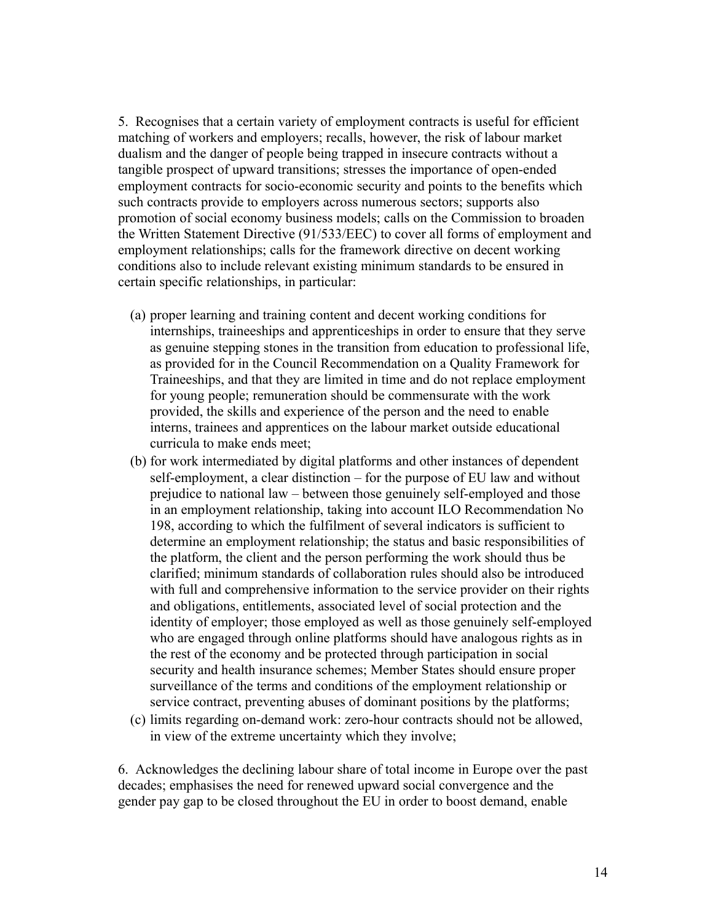5. Recognises that a certain variety of employment contracts is useful for efficient matching of workers and employers; recalls, however, the risk of labour market dualism and the danger of people being trapped in insecure contracts without a tangible prospect of upward transitions; stresses the importance of open-ended employment contracts for socio-economic security and points to the benefits which such contracts provide to employers across numerous sectors; supports also promotion of social economy business models; calls on the Commission to broaden the Written Statement Directive (91/533/EEC) to cover all forms of employment and employment relationships; calls for the framework directive on decent working conditions also to include relevant existing minimum standards to be ensured in certain specific relationships, in particular:

- (a) proper learning and training content and decent working conditions for internships, traineeships and apprenticeships in order to ensure that they serve as genuine stepping stones in the transition from education to professional life, as provided for in the Council Recommendation on a Quality Framework for Traineeships, and that they are limited in time and do not replace employment for young people; remuneration should be commensurate with the work provided, the skills and experience of the person and the need to enable interns, trainees and apprentices on the labour market outside educational curricula to make ends meet;
- (b) for work intermediated by digital platforms and other instances of dependent self-employment, a clear distinction – for the purpose of EU law and without prejudice to national law – between those genuinely self-employed and those in an employment relationship, taking into account ILO Recommendation No 198, according to which the fulfilment of several indicators is sufficient to determine an employment relationship; the status and basic responsibilities of the platform, the client and the person performing the work should thus be clarified; minimum standards of collaboration rules should also be introduced with full and comprehensive information to the service provider on their rights and obligations, entitlements, associated level of social protection and the identity of employer; those employed as well as those genuinely self-employed who are engaged through online platforms should have analogous rights as in the rest of the economy and be protected through participation in social security and health insurance schemes; Member States should ensure proper surveillance of the terms and conditions of the employment relationship or service contract, preventing abuses of dominant positions by the platforms;
- (c) limits regarding on-demand work: zero-hour contracts should not be allowed, in view of the extreme uncertainty which they involve;

6. Acknowledges the declining labour share of total income in Europe over the past decades; emphasises the need for renewed upward social convergence and the gender pay gap to be closed throughout the EU in order to boost demand, enable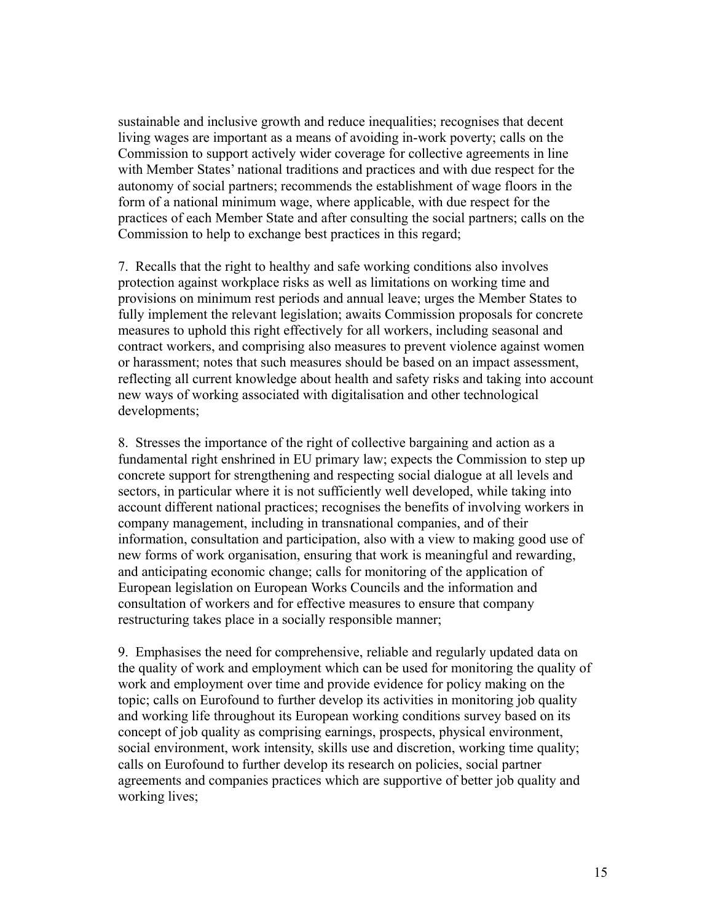sustainable and inclusive growth and reduce inequalities; recognises that decent living wages are important as a means of avoiding in-work poverty; calls on the Commission to support actively wider coverage for collective agreements in line with Member States' national traditions and practices and with due respect for the autonomy of social partners; recommends the establishment of wage floors in the form of a national minimum wage, where applicable, with due respect for the practices of each Member State and after consulting the social partners; calls on the Commission to help to exchange best practices in this regard;

7. Recalls that the right to healthy and safe working conditions also involves protection against workplace risks as well as limitations on working time and provisions on minimum rest periods and annual leave; urges the Member States to fully implement the relevant legislation; awaits Commission proposals for concrete measures to uphold this right effectively for all workers, including seasonal and contract workers, and comprising also measures to prevent violence against women or harassment; notes that such measures should be based on an impact assessment, reflecting all current knowledge about health and safety risks and taking into account new ways of working associated with digitalisation and other technological developments;

8. Stresses the importance of the right of collective bargaining and action as a fundamental right enshrined in EU primary law; expects the Commission to step up concrete support for strengthening and respecting social dialogue at all levels and sectors, in particular where it is not sufficiently well developed, while taking into account different national practices; recognises the benefits of involving workers in company management, including in transnational companies, and of their information, consultation and participation, also with a view to making good use of new forms of work organisation, ensuring that work is meaningful and rewarding, and anticipating economic change; calls for monitoring of the application of European legislation on European Works Councils and the information and consultation of workers and for effective measures to ensure that company restructuring takes place in a socially responsible manner;

9. Emphasises the need for comprehensive, reliable and regularly updated data on the quality of work and employment which can be used for monitoring the quality of work and employment over time and provide evidence for policy making on the topic; calls on Eurofound to further develop its activities in monitoring job quality and working life throughout its European working conditions survey based on its concept of job quality as comprising earnings, prospects, physical environment, social environment, work intensity, skills use and discretion, working time quality; calls on Eurofound to further develop its research on policies, social partner agreements and companies practices which are supportive of better job quality and working lives;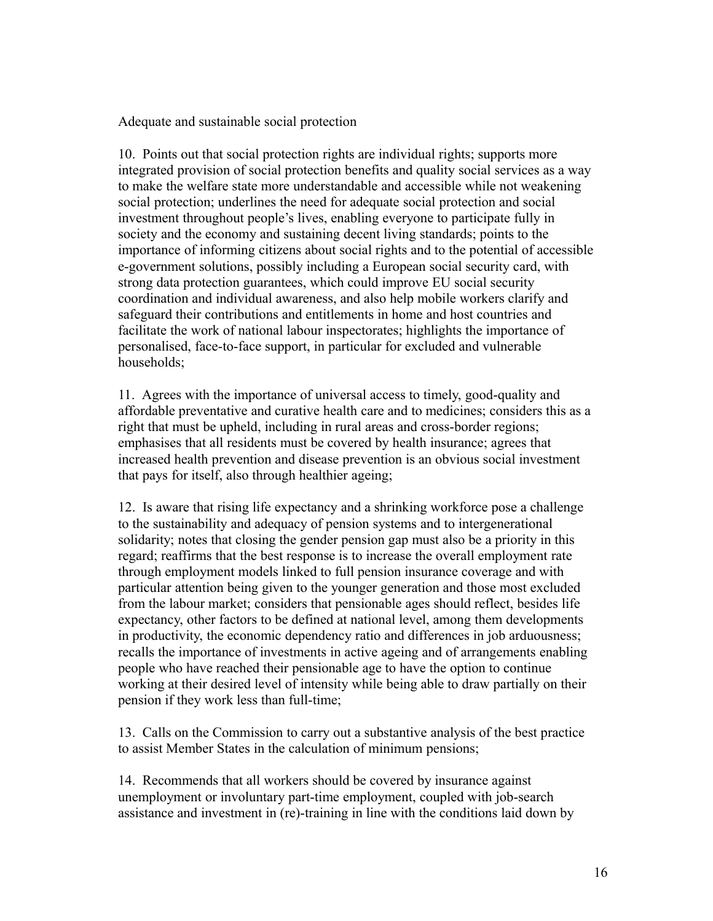Adequate and sustainable social protection

10. Points out that social protection rights are individual rights; supports more integrated provision of social protection benefits and quality social services as a way to make the welfare state more understandable and accessible while not weakening social protection; underlines the need for adequate social protection and social investment throughout people's lives, enabling everyone to participate fully in society and the economy and sustaining decent living standards; points to the importance of informing citizens about social rights and to the potential of accessible e-government solutions, possibly including a European social security card, with strong data protection guarantees, which could improve EU social security coordination and individual awareness, and also help mobile workers clarify and safeguard their contributions and entitlements in home and host countries and facilitate the work of national labour inspectorates; highlights the importance of personalised, face-to-face support, in particular for excluded and vulnerable households;

11. Agrees with the importance of universal access to timely, good-quality and affordable preventative and curative health care and to medicines; considers this as a right that must be upheld, including in rural areas and cross-border regions; emphasises that all residents must be covered by health insurance; agrees that increased health prevention and disease prevention is an obvious social investment that pays for itself, also through healthier ageing;

12. Is aware that rising life expectancy and a shrinking workforce pose a challenge to the sustainability and adequacy of pension systems and to intergenerational solidarity; notes that closing the gender pension gap must also be a priority in this regard; reaffirms that the best response is to increase the overall employment rate through employment models linked to full pension insurance coverage and with particular attention being given to the younger generation and those most excluded from the labour market; considers that pensionable ages should reflect, besides life expectancy, other factors to be defined at national level, among them developments in productivity, the economic dependency ratio and differences in job arduousness; recalls the importance of investments in active ageing and of arrangements enabling people who have reached their pensionable age to have the option to continue working at their desired level of intensity while being able to draw partially on their pension if they work less than full-time;

13. Calls on the Commission to carry out a substantive analysis of the best practice to assist Member States in the calculation of minimum pensions;

14. Recommends that all workers should be covered by insurance against unemployment or involuntary part-time employment, coupled with job-search assistance and investment in (re)-training in line with the conditions laid down by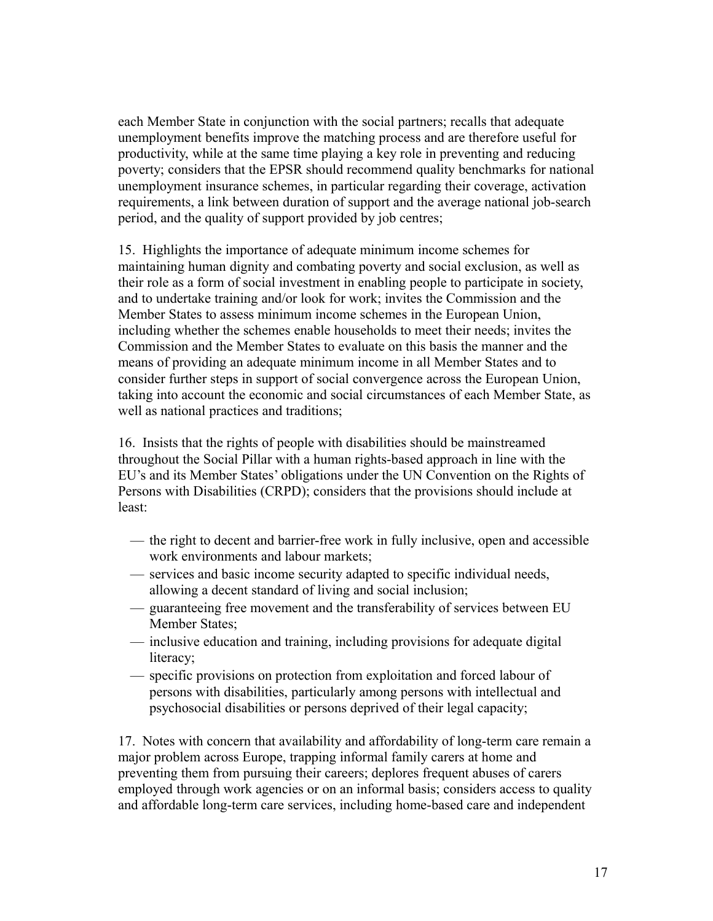each Member State in conjunction with the social partners; recalls that adequate unemployment benefits improve the matching process and are therefore useful for productivity, while at the same time playing a key role in preventing and reducing poverty; considers that the EPSR should recommend quality benchmarks for national unemployment insurance schemes, in particular regarding their coverage, activation requirements, a link between duration of support and the average national job-search period, and the quality of support provided by job centres;

15. Highlights the importance of adequate minimum income schemes for maintaining human dignity and combating poverty and social exclusion, as well as their role as a form of social investment in enabling people to participate in society, and to undertake training and/or look for work; invites the Commission and the Member States to assess minimum income schemes in the European Union, including whether the schemes enable households to meet their needs; invites the Commission and the Member States to evaluate on this basis the manner and the means of providing an adequate minimum income in all Member States and to consider further steps in support of social convergence across the European Union, taking into account the economic and social circumstances of each Member State, as well as national practices and traditions;

16. Insists that the rights of people with disabilities should be mainstreamed throughout the Social Pillar with a human rights-based approach in line with the EU's and its Member States' obligations under the UN Convention on the Rights of Persons with Disabilities (CRPD); considers that the provisions should include at least:

- the right to decent and barrier-free work in fully inclusive, open and accessible work environments and labour markets;
- services and basic income security adapted to specific individual needs, allowing a decent standard of living and social inclusion;
- guaranteeing free movement and the transferability of services between EU Member States;
- inclusive education and training, including provisions for adequate digital literacy;
- specific provisions on protection from exploitation and forced labour of persons with disabilities, particularly among persons with intellectual and psychosocial disabilities or persons deprived of their legal capacity;

17. Notes with concern that availability and affordability of long-term care remain a major problem across Europe, trapping informal family carers at home and preventing them from pursuing their careers; deplores frequent abuses of carers employed through work agencies or on an informal basis; considers access to quality and affordable long-term care services, including home-based care and independent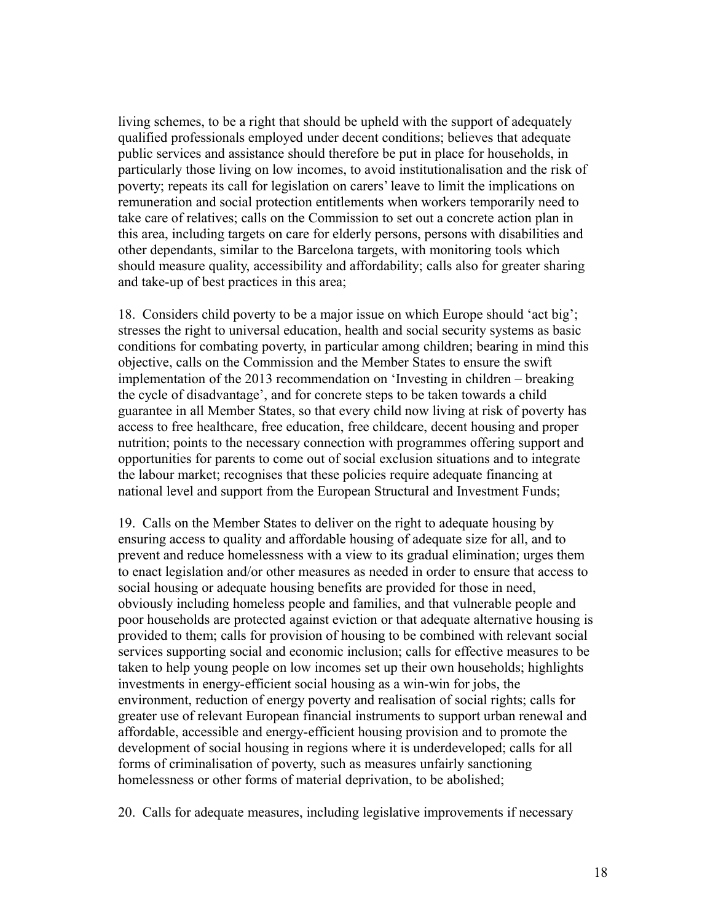living schemes, to be a right that should be upheld with the support of adequately qualified professionals employed under decent conditions; believes that adequate public services and assistance should therefore be put in place for households, in particularly those living on low incomes, to avoid institutionalisation and the risk of poverty; repeats its call for legislation on carers' leave to limit the implications on remuneration and social protection entitlements when workers temporarily need to take care of relatives; calls on the Commission to set out a concrete action plan in this area, including targets on care for elderly persons, persons with disabilities and other dependants, similar to the Barcelona targets, with monitoring tools which should measure quality, accessibility and affordability; calls also for greater sharing and take-up of best practices in this area;

18. Considers child poverty to be a major issue on which Europe should 'act big'; stresses the right to universal education, health and social security systems as basic conditions for combating poverty, in particular among children; bearing in mind this objective, calls on the Commission and the Member States to ensure the swift implementation of the 2013 recommendation on 'Investing in children – breaking the cycle of disadvantage', and for concrete steps to be taken towards a child guarantee in all Member States, so that every child now living at risk of poverty has access to free healthcare, free education, free childcare, decent housing and proper nutrition; points to the necessary connection with programmes offering support and opportunities for parents to come out of social exclusion situations and to integrate the labour market; recognises that these policies require adequate financing at national level and support from the European Structural and Investment Funds;

19. Calls on the Member States to deliver on the right to adequate housing by ensuring access to quality and affordable housing of adequate size for all, and to prevent and reduce homelessness with a view to its gradual elimination; urges them to enact legislation and/or other measures as needed in order to ensure that access to social housing or adequate housing benefits are provided for those in need, obviously including homeless people and families, and that vulnerable people and poor households are protected against eviction or that adequate alternative housing is provided to them; calls for provision of housing to be combined with relevant social services supporting social and economic inclusion; calls for effective measures to be taken to help young people on low incomes set up their own households; highlights investments in energy-efficient social housing as a win-win for jobs, the environment, reduction of energy poverty and realisation of social rights; calls for greater use of relevant European financial instruments to support urban renewal and affordable, accessible and energy-efficient housing provision and to promote the development of social housing in regions where it is underdeveloped; calls for all forms of criminalisation of poverty, such as measures unfairly sanctioning homelessness or other forms of material deprivation, to be abolished;

20. Calls for adequate measures, including legislative improvements if necessary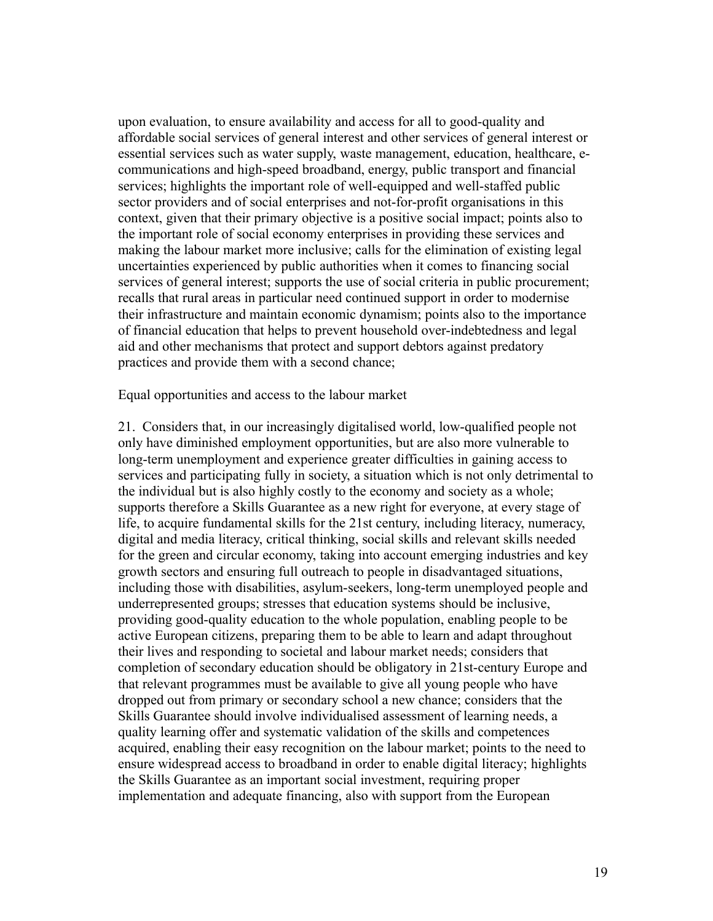upon evaluation, to ensure availability and access for all to good-quality and affordable social services of general interest and other services of general interest or essential services such as water supply, waste management, education, healthcare, ecommunications and high-speed broadband, energy, public transport and financial services; highlights the important role of well-equipped and well-staffed public sector providers and of social enterprises and not-for-profit organisations in this context, given that their primary objective is a positive social impact; points also to the important role of social economy enterprises in providing these services and making the labour market more inclusive; calls for the elimination of existing legal uncertainties experienced by public authorities when it comes to financing social services of general interest; supports the use of social criteria in public procurement; recalls that rural areas in particular need continued support in order to modernise their infrastructure and maintain economic dynamism; points also to the importance of financial education that helps to prevent household over-indebtedness and legal aid and other mechanisms that protect and support debtors against predatory practices and provide them with a second chance;

Equal opportunities and access to the labour market

21. Considers that, in our increasingly digitalised world, low-qualified people not only have diminished employment opportunities, but are also more vulnerable to long-term unemployment and experience greater difficulties in gaining access to services and participating fully in society, a situation which is not only detrimental to the individual but is also highly costly to the economy and society as a whole; supports therefore a Skills Guarantee as a new right for everyone, at every stage of life, to acquire fundamental skills for the 21st century, including literacy, numeracy, digital and media literacy, critical thinking, social skills and relevant skills needed for the green and circular economy, taking into account emerging industries and key growth sectors and ensuring full outreach to people in disadvantaged situations, including those with disabilities, asylum-seekers, long-term unemployed people and underrepresented groups; stresses that education systems should be inclusive, providing good-quality education to the whole population, enabling people to be active European citizens, preparing them to be able to learn and adapt throughout their lives and responding to societal and labour market needs; considers that completion of secondary education should be obligatory in 21st-century Europe and that relevant programmes must be available to give all young people who have dropped out from primary or secondary school a new chance; considers that the Skills Guarantee should involve individualised assessment of learning needs, a quality learning offer and systematic validation of the skills and competences acquired, enabling their easy recognition on the labour market; points to the need to ensure widespread access to broadband in order to enable digital literacy; highlights the Skills Guarantee as an important social investment, requiring proper implementation and adequate financing, also with support from the European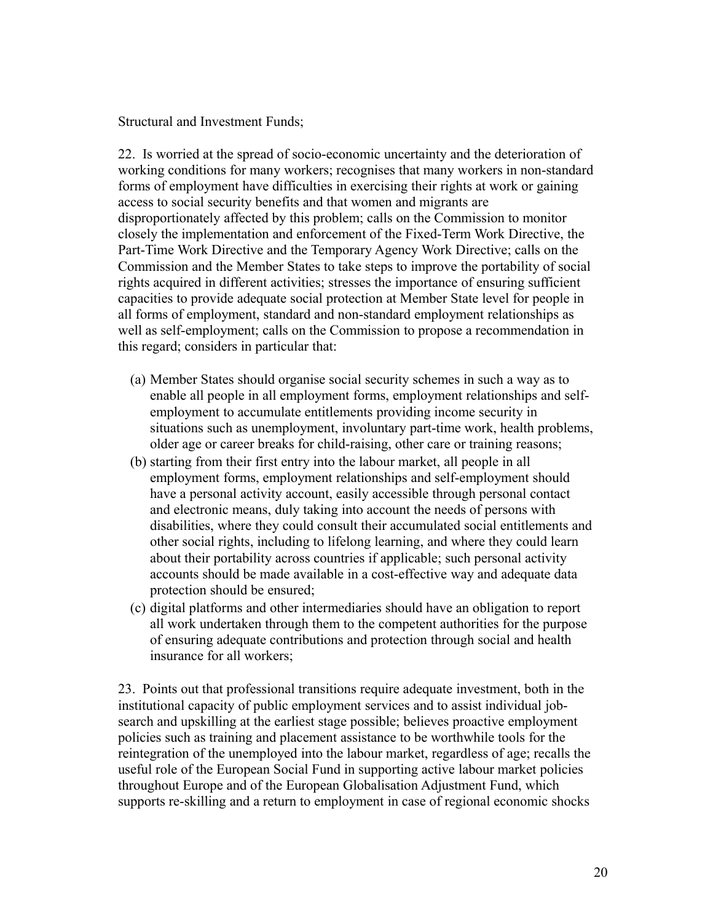Structural and Investment Funds;

22. Is worried at the spread of socio-economic uncertainty and the deterioration of working conditions for many workers; recognises that many workers in non-standard forms of employment have difficulties in exercising their rights at work or gaining access to social security benefits and that women and migrants are disproportionately affected by this problem; calls on the Commission to monitor closely the implementation and enforcement of the Fixed-Term Work Directive, the Part-Time Work Directive and the Temporary Agency Work Directive; calls on the Commission and the Member States to take steps to improve the portability of social rights acquired in different activities; stresses the importance of ensuring sufficient capacities to provide adequate social protection at Member State level for people in all forms of employment, standard and non-standard employment relationships as well as self-employment; calls on the Commission to propose a recommendation in this regard; considers in particular that:

- (a) Member States should organise social security schemes in such a way as to enable all people in all employment forms, employment relationships and selfemployment to accumulate entitlements providing income security in situations such as unemployment, involuntary part-time work, health problems, older age or career breaks for child-raising, other care or training reasons;
- (b) starting from their first entry into the labour market, all people in all employment forms, employment relationships and self-employment should have a personal activity account, easily accessible through personal contact and electronic means, duly taking into account the needs of persons with disabilities, where they could consult their accumulated social entitlements and other social rights, including to lifelong learning, and where they could learn about their portability across countries if applicable; such personal activity accounts should be made available in a cost-effective way and adequate data protection should be ensured;
- (c) digital platforms and other intermediaries should have an obligation to report all work undertaken through them to the competent authorities for the purpose of ensuring adequate contributions and protection through social and health insurance for all workers;

23. Points out that professional transitions require adequate investment, both in the institutional capacity of public employment services and to assist individual jobsearch and upskilling at the earliest stage possible; believes proactive employment policies such as training and placement assistance to be worthwhile tools for the reintegration of the unemployed into the labour market, regardless of age; recalls the useful role of the European Social Fund in supporting active labour market policies throughout Europe and of the European Globalisation Adjustment Fund, which supports re-skilling and a return to employment in case of regional economic shocks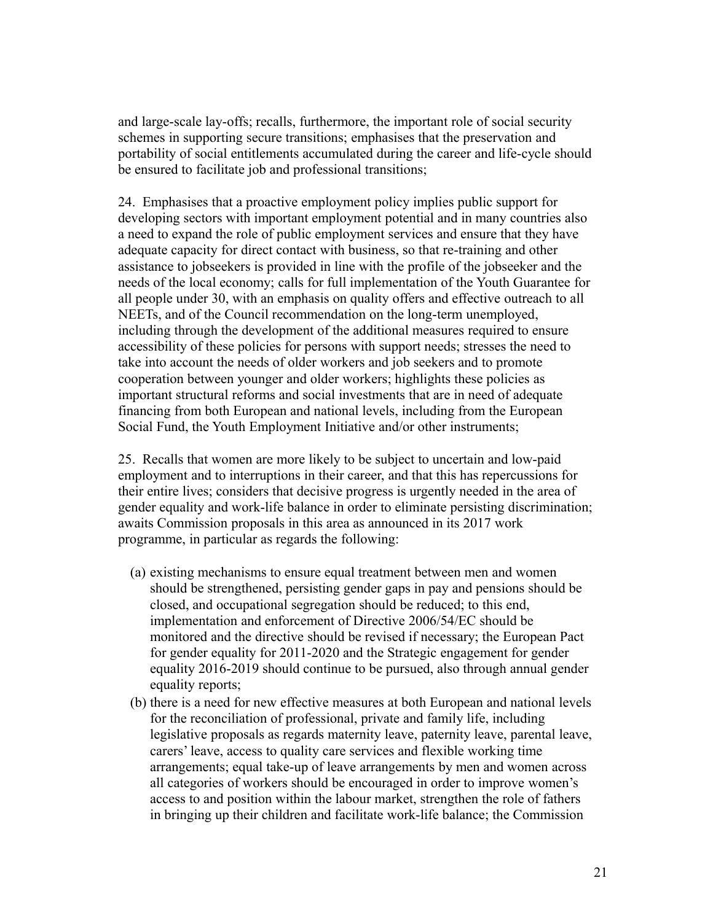and large-scale lay-offs; recalls, furthermore, the important role of social security schemes in supporting secure transitions; emphasises that the preservation and portability of social entitlements accumulated during the career and life-cycle should be ensured to facilitate job and professional transitions;

24. Emphasises that a proactive employment policy implies public support for developing sectors with important employment potential and in many countries also a need to expand the role of public employment services and ensure that they have adequate capacity for direct contact with business, so that re-training and other assistance to jobseekers is provided in line with the profile of the jobseeker and the needs of the local economy; calls for full implementation of the Youth Guarantee for all people under 30, with an emphasis on quality offers and effective outreach to all NEETs, and of the Council recommendation on the long-term unemployed, including through the development of the additional measures required to ensure accessibility of these policies for persons with support needs; stresses the need to take into account the needs of older workers and job seekers and to promote cooperation between younger and older workers; highlights these policies as important structural reforms and social investments that are in need of adequate financing from both European and national levels, including from the European Social Fund, the Youth Employment Initiative and/or other instruments;

25. Recalls that women are more likely to be subject to uncertain and low-paid employment and to interruptions in their career, and that this has repercussions for their entire lives; considers that decisive progress is urgently needed in the area of gender equality and work-life balance in order to eliminate persisting discrimination; awaits Commission proposals in this area as announced in its 2017 work programme, in particular as regards the following:

- (a) existing mechanisms to ensure equal treatment between men and women should be strengthened, persisting gender gaps in pay and pensions should be closed, and occupational segregation should be reduced; to this end, implementation and enforcement of Directive 2006/54/EC should be monitored and the directive should be revised if necessary; the European Pact for gender equality for 2011-2020 and the Strategic engagement for gender equality 2016-2019 should continue to be pursued, also through annual gender equality reports;
- (b) there is a need for new effective measures at both European and national levels for the reconciliation of professional, private and family life, including legislative proposals as regards maternity leave, paternity leave, parental leave, carers' leave, access to quality care services and flexible working time arrangements; equal take-up of leave arrangements by men and women across all categories of workers should be encouraged in order to improve women's access to and position within the labour market, strengthen the role of fathers in bringing up their children and facilitate work-life balance; the Commission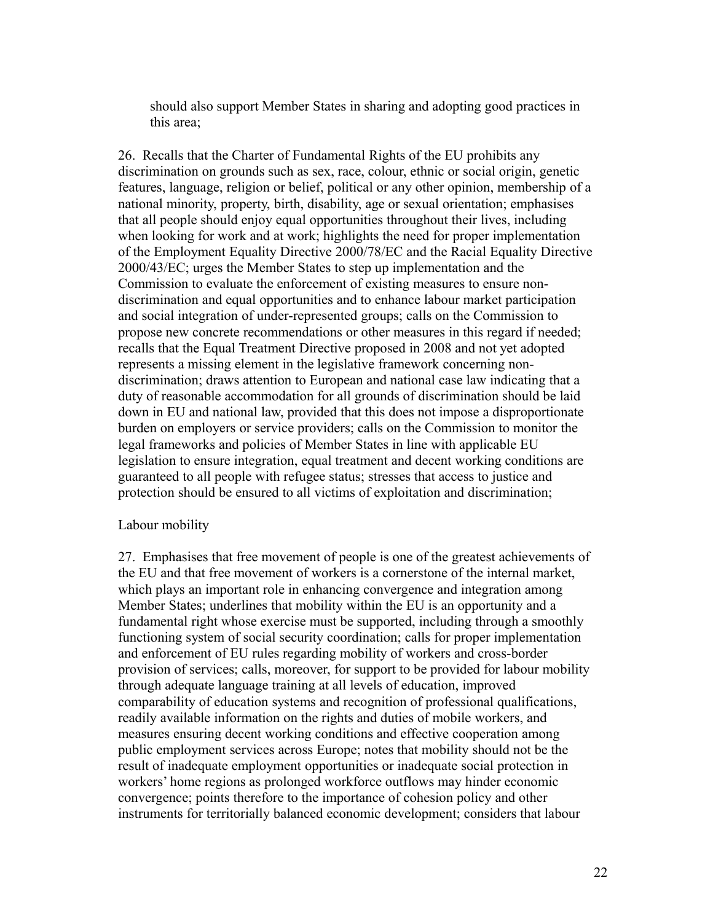should also support Member States in sharing and adopting good practices in this area;

26. Recalls that the Charter of Fundamental Rights of the EU prohibits any discrimination on grounds such as sex, race, colour, ethnic or social origin, genetic features, language, religion or belief, political or any other opinion, membership of a national minority, property, birth, disability, age or sexual orientation; emphasises that all people should enjoy equal opportunities throughout their lives, including when looking for work and at work; highlights the need for proper implementation of the Employment Equality Directive 2000/78/EC and the Racial Equality Directive 2000/43/EC; urges the Member States to step up implementation and the Commission to evaluate the enforcement of existing measures to ensure nondiscrimination and equal opportunities and to enhance labour market participation and social integration of under-represented groups; calls on the Commission to propose new concrete recommendations or other measures in this regard if needed; recalls that the Equal Treatment Directive proposed in 2008 and not yet adopted represents a missing element in the legislative framework concerning nondiscrimination; draws attention to European and national case law indicating that a duty of reasonable accommodation for all grounds of discrimination should be laid down in EU and national law, provided that this does not impose a disproportionate burden on employers or service providers; calls on the Commission to monitor the legal frameworks and policies of Member States in line with applicable EU legislation to ensure integration, equal treatment and decent working conditions are guaranteed to all people with refugee status; stresses that access to justice and protection should be ensured to all victims of exploitation and discrimination;

## Labour mobility

27. Emphasises that free movement of people is one of the greatest achievements of the EU and that free movement of workers is a cornerstone of the internal market, which plays an important role in enhancing convergence and integration among Member States; underlines that mobility within the EU is an opportunity and a fundamental right whose exercise must be supported, including through a smoothly functioning system of social security coordination; calls for proper implementation and enforcement of EU rules regarding mobility of workers and cross-border provision of services; calls, moreover, for support to be provided for labour mobility through adequate language training at all levels of education, improved comparability of education systems and recognition of professional qualifications, readily available information on the rights and duties of mobile workers, and measures ensuring decent working conditions and effective cooperation among public employment services across Europe; notes that mobility should not be the result of inadequate employment opportunities or inadequate social protection in workers' home regions as prolonged workforce outflows may hinder economic convergence; points therefore to the importance of cohesion policy and other instruments for territorially balanced economic development; considers that labour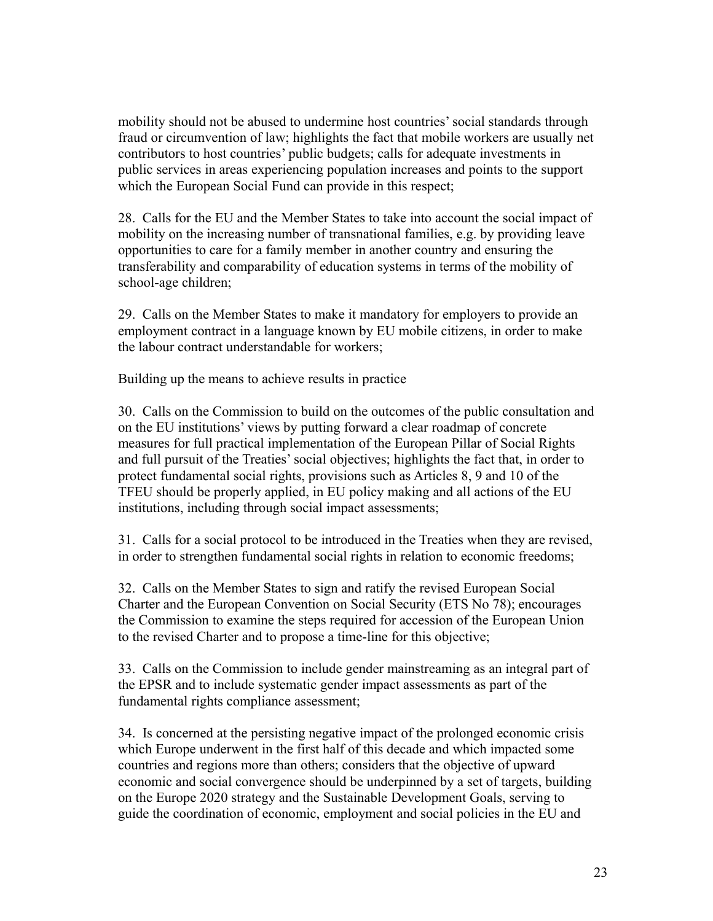mobility should not be abused to undermine host countries' social standards through fraud or circumvention of law; highlights the fact that mobile workers are usually net contributors to host countries' public budgets; calls for adequate investments in public services in areas experiencing population increases and points to the support which the European Social Fund can provide in this respect;

28. Calls for the EU and the Member States to take into account the social impact of mobility on the increasing number of transnational families, e.g. by providing leave opportunities to care for a family member in another country and ensuring the transferability and comparability of education systems in terms of the mobility of school-age children;

29. Calls on the Member States to make it mandatory for employers to provide an employment contract in a language known by EU mobile citizens, in order to make the labour contract understandable for workers;

Building up the means to achieve results in practice

30. Calls on the Commission to build on the outcomes of the public consultation and on the EU institutions' views by putting forward a clear roadmap of concrete measures for full practical implementation of the European Pillar of Social Rights and full pursuit of the Treaties' social objectives; highlights the fact that, in order to protect fundamental social rights, provisions such as Articles 8, 9 and 10 of the TFEU should be properly applied, in EU policy making and all actions of the EU institutions, including through social impact assessments;

31. Calls for a social protocol to be introduced in the Treaties when they are revised, in order to strengthen fundamental social rights in relation to economic freedoms;

32. Calls on the Member States to sign and ratify the revised European Social Charter and the European Convention on Social Security (ETS No 78); encourages the Commission to examine the steps required for accession of the European Union to the revised Charter and to propose a time-line for this objective;

33. Calls on the Commission to include gender mainstreaming as an integral part of the EPSR and to include systematic gender impact assessments as part of the fundamental rights compliance assessment;

34. Is concerned at the persisting negative impact of the prolonged economic crisis which Europe underwent in the first half of this decade and which impacted some countries and regions more than others; considers that the objective of upward economic and social convergence should be underpinned by a set of targets, building on the Europe 2020 strategy and the Sustainable Development Goals, serving to guide the coordination of economic, employment and social policies in the EU and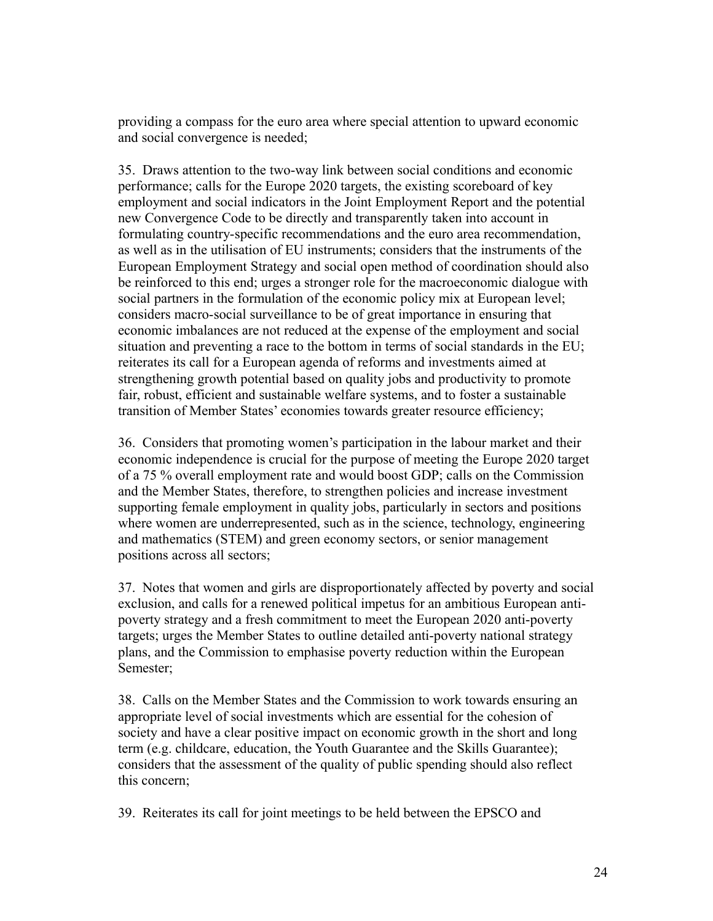providing a compass for the euro area where special attention to upward economic and social convergence is needed;

35. Draws attention to the two-way link between social conditions and economic performance; calls for the Europe 2020 targets, the existing scoreboard of key employment and social indicators in the Joint Employment Report and the potential new Convergence Code to be directly and transparently taken into account in formulating country-specific recommendations and the euro area recommendation, as well as in the utilisation of EU instruments; considers that the instruments of the European Employment Strategy and social open method of coordination should also be reinforced to this end; urges a stronger role for the macroeconomic dialogue with social partners in the formulation of the economic policy mix at European level; considers macro-social surveillance to be of great importance in ensuring that economic imbalances are not reduced at the expense of the employment and social situation and preventing a race to the bottom in terms of social standards in the EU; reiterates its call for a European agenda of reforms and investments aimed at strengthening growth potential based on quality jobs and productivity to promote fair, robust, efficient and sustainable welfare systems, and to foster a sustainable transition of Member States' economies towards greater resource efficiency;

36. Considers that promoting women's participation in the labour market and their economic independence is crucial for the purpose of meeting the Europe 2020 target of a 75 % overall employment rate and would boost GDP; calls on the Commission and the Member States, therefore, to strengthen policies and increase investment supporting female employment in quality jobs, particularly in sectors and positions where women are underrepresented, such as in the science, technology, engineering and mathematics (STEM) and green economy sectors, or senior management positions across all sectors;

37. Notes that women and girls are disproportionately affected by poverty and social exclusion, and calls for a renewed political impetus for an ambitious European antipoverty strategy and a fresh commitment to meet the European 2020 anti-poverty targets; urges the Member States to outline detailed anti-poverty national strategy plans, and the Commission to emphasise poverty reduction within the European Semester;

38. Calls on the Member States and the Commission to work towards ensuring an appropriate level of social investments which are essential for the cohesion of society and have a clear positive impact on economic growth in the short and long term (e.g. childcare, education, the Youth Guarantee and the Skills Guarantee); considers that the assessment of the quality of public spending should also reflect this concern;

39. Reiterates its call for joint meetings to be held between the EPSCO and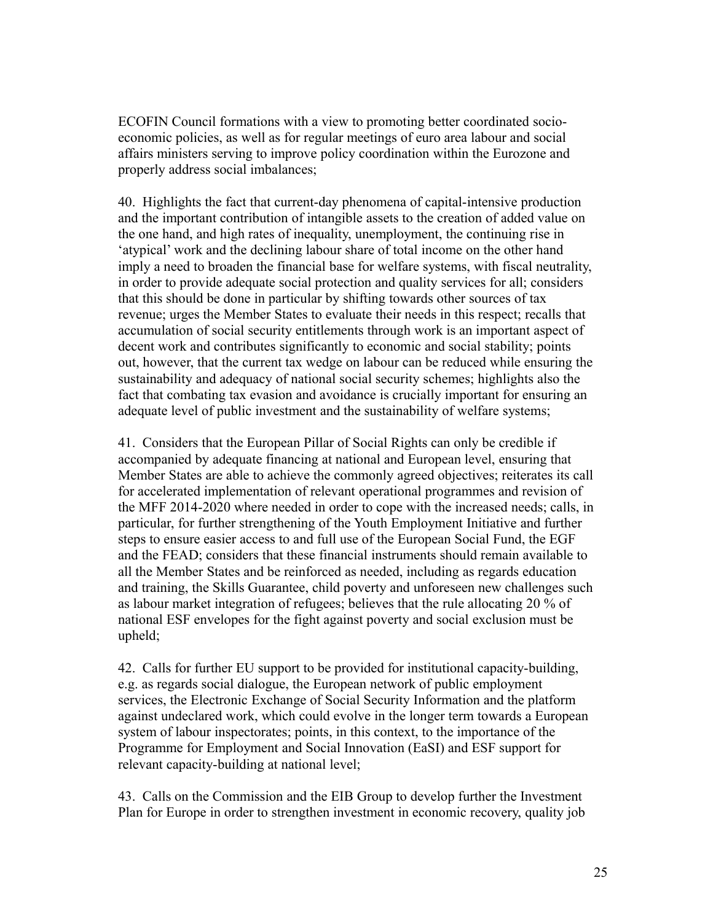ECOFIN Council formations with a view to promoting better coordinated socioeconomic policies, as well as for regular meetings of euro area labour and social affairs ministers serving to improve policy coordination within the Eurozone and properly address social imbalances;

40. Highlights the fact that current-day phenomena of capital-intensive production and the important contribution of intangible assets to the creation of added value on the one hand, and high rates of inequality, unemployment, the continuing rise in 'atypical' work and the declining labour share of total income on the other hand imply a need to broaden the financial base for welfare systems, with fiscal neutrality, in order to provide adequate social protection and quality services for all; considers that this should be done in particular by shifting towards other sources of tax revenue; urges the Member States to evaluate their needs in this respect; recalls that accumulation of social security entitlements through work is an important aspect of decent work and contributes significantly to economic and social stability; points out, however, that the current tax wedge on labour can be reduced while ensuring the sustainability and adequacy of national social security schemes; highlights also the fact that combating tax evasion and avoidance is crucially important for ensuring an adequate level of public investment and the sustainability of welfare systems;

41. Considers that the European Pillar of Social Rights can only be credible if accompanied by adequate financing at national and European level, ensuring that Member States are able to achieve the commonly agreed objectives; reiterates its call for accelerated implementation of relevant operational programmes and revision of the MFF 2014-2020 where needed in order to cope with the increased needs; calls, in particular, for further strengthening of the Youth Employment Initiative and further steps to ensure easier access to and full use of the European Social Fund, the EGF and the FEAD; considers that these financial instruments should remain available to all the Member States and be reinforced as needed, including as regards education and training, the Skills Guarantee, child poverty and unforeseen new challenges such as labour market integration of refugees; believes that the rule allocating 20 % of national ESF envelopes for the fight against poverty and social exclusion must be upheld;

42. Calls for further EU support to be provided for institutional capacity-building, e.g. as regards social dialogue, the European network of public employment services, the Electronic Exchange of Social Security Information and the platform against undeclared work, which could evolve in the longer term towards a European system of labour inspectorates; points, in this context, to the importance of the Programme for Employment and Social Innovation (EaSI) and ESF support for relevant capacity-building at national level;

43. Calls on the Commission and the EIB Group to develop further the Investment Plan for Europe in order to strengthen investment in economic recovery, quality job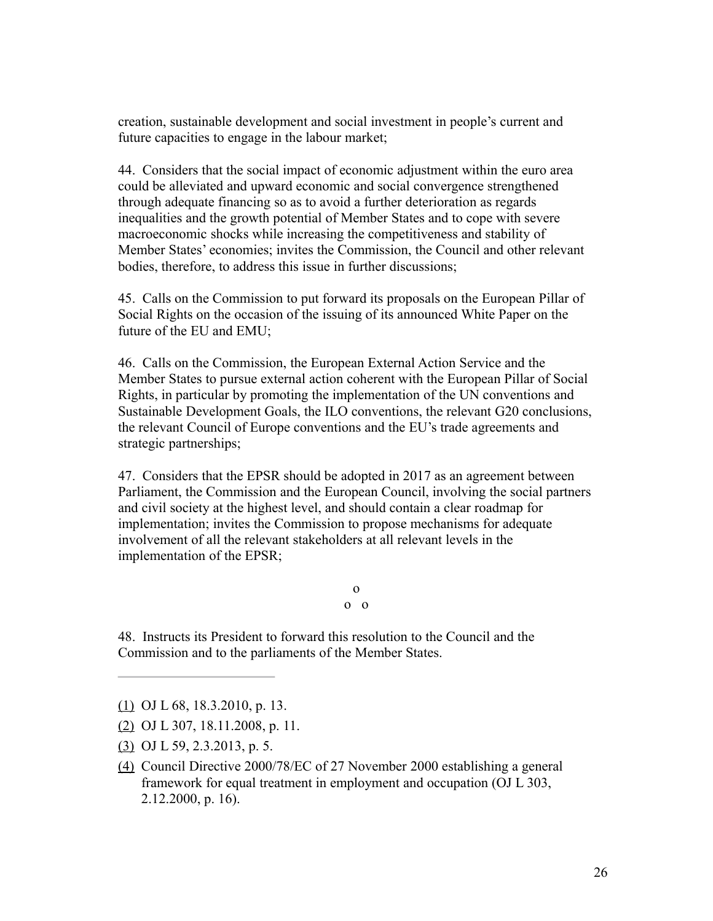creation, sustainable development and social investment in people's current and future capacities to engage in the labour market;

44. Considers that the social impact of economic adjustment within the euro area could be alleviated and upward economic and social convergence strengthened through adequate financing so as to avoid a further deterioration as regards inequalities and the growth potential of Member States and to cope with severe macroeconomic shocks while increasing the competitiveness and stability of Member States' economies; invites the Commission, the Council and other relevant bodies, therefore, to address this issue in further discussions;

45. Calls on the Commission to put forward its proposals on the European Pillar of Social Rights on the occasion of the issuing of its announced White Paper on the future of the EU and EMU;

46. Calls on the Commission, the European External Action Service and the Member States to pursue external action coherent with the European Pillar of Social Rights, in particular by promoting the implementation of the UN conventions and Sustainable Development Goals, the ILO conventions, the relevant G20 conclusions, the relevant Council of Europe conventions and the EU's trade agreements and strategic partnerships;

47. Considers that the EPSR should be adopted in 2017 as an agreement between Parliament, the Commission and the European Council, involving the social partners and civil society at the highest level, and should contain a clear roadmap for implementation; invites the Commission to propose mechanisms for adequate involvement of all the relevant stakeholders at all relevant levels in the implementation of the EPSR;

> o o o

48. Instructs its President to forward this resolution to the Council and the Commission and to the parliaments of the Member States.

- [\(2\)](http://www.europarl.europa.eu/sides/getDoc.do?pubRef=-//EP//TEXT+TA+P8-TA-2017-0010+0+DOC+XML+V0//EN#ref_1_2) OJ L 307, 18.11.2008, p. 11.
- [\(3\)](http://www.europarl.europa.eu/sides/getDoc.do?pubRef=-//EP//TEXT+TA+P8-TA-2017-0010+0+DOC+XML+V0//EN#ref_1_3) OJ L 59, 2.3.2013, p. 5.
- [\(4\)](http://www.europarl.europa.eu/sides/getDoc.do?pubRef=-//EP//TEXT+TA+P8-TA-2017-0010+0+DOC+XML+V0//EN#ref_1_4) Council Directive 2000/78/EC of 27 November 2000 establishing a general framework for equal treatment in employment and occupation (OJ L 303, 2.12.2000, p. 16).

[<sup>\(1\)</sup>](http://www.europarl.europa.eu/sides/getDoc.do?pubRef=-//EP//TEXT+TA+P8-TA-2017-0010+0+DOC+XML+V0//EN#ref_1_1) OJ L 68, 18.3.2010, p. 13.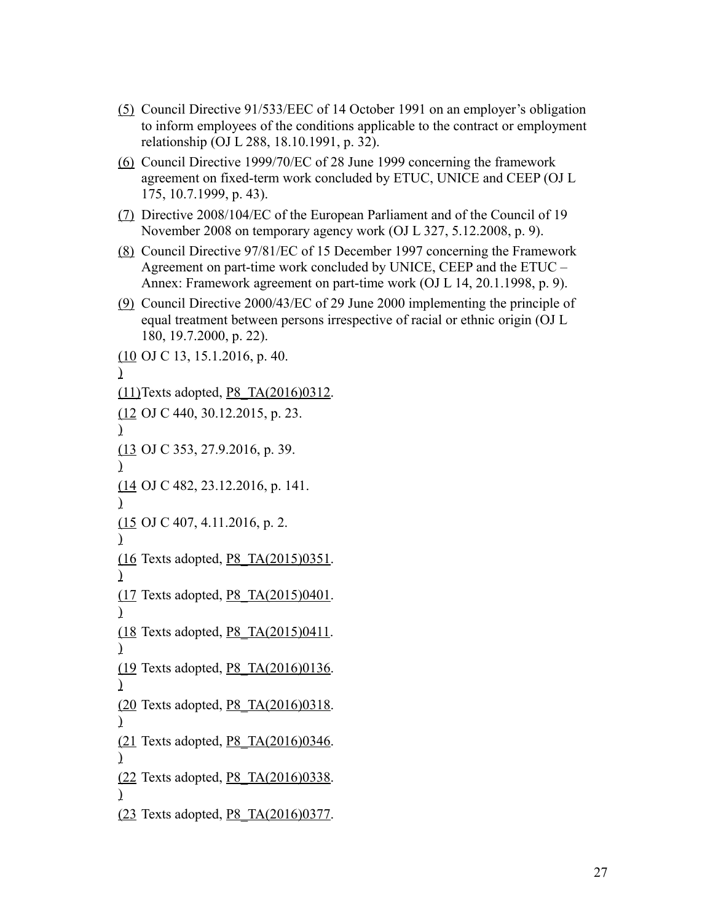- [\(5\)](http://www.europarl.europa.eu/sides/getDoc.do?pubRef=-//EP//TEXT+TA+P8-TA-2017-0010+0+DOC+XML+V0//EN#ref_1_5) Council Directive 91/533/EEC of 14 October 1991 on an employer's obligation to inform employees of the conditions applicable to the contract or employment relationship (OJ L 288, 18.10.1991, p. 32).
- [\(6\)](http://www.europarl.europa.eu/sides/getDoc.do?pubRef=-//EP//TEXT+TA+P8-TA-2017-0010+0+DOC+XML+V0//EN#ref_1_6) Council Directive 1999/70/EC of 28 June 1999 concerning the framework agreement on fixed-term work concluded by ETUC, UNICE and CEEP (OJ L 175, 10.7.1999, p. 43).
- [\(7\)](http://www.europarl.europa.eu/sides/getDoc.do?pubRef=-//EP//TEXT+TA+P8-TA-2017-0010+0+DOC+XML+V0//EN#ref_1_7) Directive 2008/104/EC of the European Parliament and of the Council of 19 November 2008 on temporary agency work (OJ L 327, 5.12.2008, p. 9).
- [\(8\)](http://www.europarl.europa.eu/sides/getDoc.do?pubRef=-//EP//TEXT+TA+P8-TA-2017-0010+0+DOC+XML+V0//EN#ref_1_8) Council Directive 97/81/EC of 15 December 1997 concerning the Framework Agreement on part-time work concluded by UNICE, CEEP and the ETUC – Annex: Framework agreement on part-time work (OJ L 14, 20.1.1998, p. 9).
- [\(9\)](http://www.europarl.europa.eu/sides/getDoc.do?pubRef=-//EP//TEXT+TA+P8-TA-2017-0010+0+DOC+XML+V0//EN#ref_1_9) Council Directive 2000/43/EC of 29 June 2000 implementing the principle of equal treatment between persons irrespective of racial or ethnic origin (OJ L 180, 19.7.2000, p. 22).

 $(10 \text{ OJ C } 13, 15.1.2016, p. 40.$  $(10 \text{ OJ C } 13, 15.1.2016, p. 40.$ [\)](http://www.europarl.europa.eu/sides/getDoc.do?pubRef=-//EP//TEXT+TA+P8-TA-2017-0010+0+DOC+XML+V0//EN#ref_1_10) [\(11\)T](http://www.europarl.europa.eu/sides/getDoc.do?pubRef=-//EP//TEXT+TA+P8-TA-2017-0010+0+DOC+XML+V0//EN#ref_1_11)exts adopted, [P8\\_TA\(2016\)0312.](http://www.europarl.europa.eu/sides/getDoc.do?type=TA&reference=P8-TA-2016-0312&language=EN)  $(12 \text{ OJ C } 440, 30.12.2015, p. 23.$  $(12 \text{ OJ C } 440, 30.12.2015, p. 23.$ [\)](http://www.europarl.europa.eu/sides/getDoc.do?pubRef=-//EP//TEXT+TA+P8-TA-2017-0010+0+DOC+XML+V0//EN#ref_1_12) [\(13](http://www.europarl.europa.eu/sides/getDoc.do?pubRef=-//EP//TEXT+TA+P8-TA-2017-0010+0+DOC+XML+V0//EN#ref_1_13) OJ C 353, 27.9.2016, p. 39. [\)](http://www.europarl.europa.eu/sides/getDoc.do?pubRef=-//EP//TEXT+TA+P8-TA-2017-0010+0+DOC+XML+V0//EN#ref_1_13) [\(14](http://www.europarl.europa.eu/sides/getDoc.do?pubRef=-//EP//TEXT+TA+P8-TA-2017-0010+0+DOC+XML+V0//EN#ref_1_14) OJ C 482, 23.12.2016, p. 141. [\)](http://www.europarl.europa.eu/sides/getDoc.do?pubRef=-//EP//TEXT+TA+P8-TA-2017-0010+0+DOC+XML+V0//EN#ref_1_14)  $(15 \text{ OJ C } 407, 4.11.2016, p. 2.$  $(15 \text{ OJ C } 407, 4.11.2016, p. 2.$ [\)](http://www.europarl.europa.eu/sides/getDoc.do?pubRef=-//EP//TEXT+TA+P8-TA-2017-0010+0+DOC+XML+V0//EN#ref_1_15) [\(16](http://www.europarl.europa.eu/sides/getDoc.do?pubRef=-//EP//TEXT+TA+P8-TA-2017-0010+0+DOC+XML+V0//EN#ref_1_16) Texts adopted, [P8\\_TA\(2015\)0351.](http://www.europarl.europa.eu/sides/getDoc.do?type=TA&reference=P8-TA-2015-0351&language=EN) [\)](http://www.europarl.europa.eu/sides/getDoc.do?pubRef=-//EP//TEXT+TA+P8-TA-2017-0010+0+DOC+XML+V0//EN#ref_1_16) [\(17](http://www.europarl.europa.eu/sides/getDoc.do?pubRef=-//EP//TEXT+TA+P8-TA-2017-0010+0+DOC+XML+V0//EN#ref_1_17) Texts adopted, P8 TA(2015)0401. [\)](http://www.europarl.europa.eu/sides/getDoc.do?pubRef=-//EP//TEXT+TA+P8-TA-2017-0010+0+DOC+XML+V0//EN#ref_1_17) [\(18](http://www.europarl.europa.eu/sides/getDoc.do?pubRef=-//EP//TEXT+TA+P8-TA-2017-0010+0+DOC+XML+V0//EN#ref_1_18)) Texts adopted, P8 TA(2015)0411. [\)](http://www.europarl.europa.eu/sides/getDoc.do?pubRef=-//EP//TEXT+TA+P8-TA-2017-0010+0+DOC+XML+V0//EN#ref_1_18) [\(19](http://www.europarl.europa.eu/sides/getDoc.do?pubRef=-//EP//TEXT+TA+P8-TA-2017-0010+0+DOC+XML+V0//EN#ref_1_19) Texts adopted, P8 TA(2016)0136. [\)](http://www.europarl.europa.eu/sides/getDoc.do?pubRef=-//EP//TEXT+TA+P8-TA-2017-0010+0+DOC+XML+V0//EN#ref_1_19) [\(20](http://www.europarl.europa.eu/sides/getDoc.do?pubRef=-//EP//TEXT+TA+P8-TA-2017-0010+0+DOC+XML+V0//EN#ref_1_20) Texts adopted, P8 TA(2016)0318. [\)](http://www.europarl.europa.eu/sides/getDoc.do?pubRef=-//EP//TEXT+TA+P8-TA-2017-0010+0+DOC+XML+V0//EN#ref_1_20) [\(21](http://www.europarl.europa.eu/sides/getDoc.do?pubRef=-//EP//TEXT+TA+P8-TA-2017-0010+0+DOC+XML+V0//EN#ref_1_21) Texts adopted, P8 TA(2016)0346. [\)](http://www.europarl.europa.eu/sides/getDoc.do?pubRef=-//EP//TEXT+TA+P8-TA-2017-0010+0+DOC+XML+V0//EN#ref_1_21) [\(22](http://www.europarl.europa.eu/sides/getDoc.do?pubRef=-//EP//TEXT+TA+P8-TA-2017-0010+0+DOC+XML+V0//EN#ref_1_22) Texts adopted, P8 TA(2016)0338. [\)](http://www.europarl.europa.eu/sides/getDoc.do?pubRef=-//EP//TEXT+TA+P8-TA-2017-0010+0+DOC+XML+V0//EN#ref_1_22) [\(23](http://www.europarl.europa.eu/sides/getDoc.do?pubRef=-//EP//TEXT+TA+P8-TA-2017-0010+0+DOC+XML+V0//EN#ref_1_23) Texts adopted, [P8\\_TA\(2016\)0377.](http://www.europarl.europa.eu/sides/getDoc.do?type=TA&reference=P8-TA-2016-0377&language=EN)